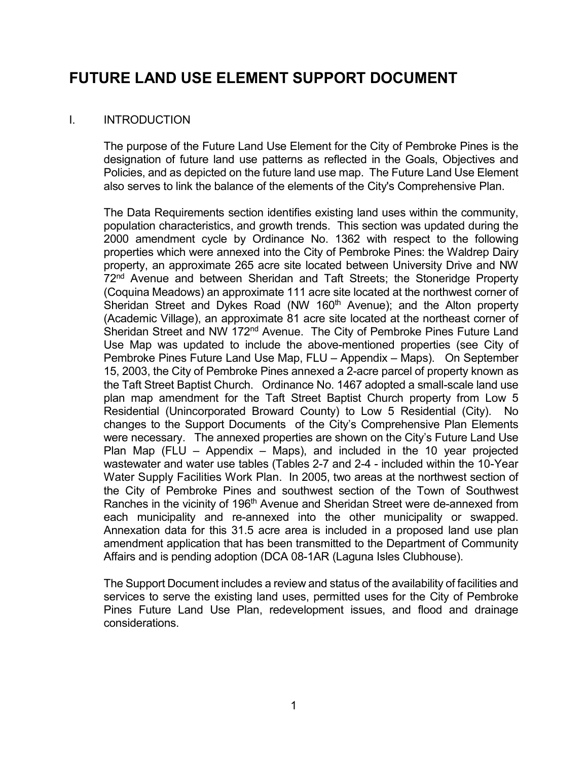# FUTURE LAND USE ELEMENT SUPPORT DOCUMENT

# I. INTRODUCTION

 The purpose of the Future Land Use Element for the City of Pembroke Pines is the designation of future land use patterns as reflected in the Goals, Objectives and Policies, and as depicted on the future land use map. The Future Land Use Element also serves to link the balance of the elements of the City's Comprehensive Plan.

 The Data Requirements section identifies existing land uses within the community, population characteristics, and growth trends. This section was updated during the 2000 amendment cycle by Ordinance No. 1362 with respect to the following properties which were annexed into the City of Pembroke Pines: the Waldrep Dairy property, an approximate 265 acre site located between University Drive and NW 72<sup>nd</sup> Avenue and between Sheridan and Taft Streets; the Stoneridge Property (Coquina Meadows) an approximate 111 acre site located at the northwest corner of Sheridan Street and Dykes Road (NW 160<sup>th</sup> Avenue); and the Alton property (Academic Village), an approximate 81 acre site located at the northeast corner of Sheridan Street and NW 172<sup>nd</sup> Avenue. The City of Pembroke Pines Future Land Use Map was updated to include the above-mentioned properties (see City of Pembroke Pines Future Land Use Map, FLU – Appendix – Maps). On September 15, 2003, the City of Pembroke Pines annexed a 2-acre parcel of property known as the Taft Street Baptist Church. Ordinance No. 1467 adopted a small-scale land use plan map amendment for the Taft Street Baptist Church property from Low 5 Residential (Unincorporated Broward County) to Low 5 Residential (City). No changes to the Support Documents of the City's Comprehensive Plan Elements were necessary. The annexed properties are shown on the City's Future Land Use Plan Map (FLU – Appendix – Maps), and included in the 10 year projected wastewater and water use tables (Tables 2-7 and 2-4 - included within the 10-Year Water Supply Facilities Work Plan. In 2005, two areas at the northwest section of the City of Pembroke Pines and southwest section of the Town of Southwest Ranches in the vicinity of 196<sup>th</sup> Avenue and Sheridan Street were de-annexed from each municipality and re-annexed into the other municipality or swapped. Annexation data for this 31.5 acre area is included in a proposed land use plan amendment application that has been transmitted to the Department of Community Affairs and is pending adoption (DCA 08-1AR (Laguna Isles Clubhouse).

 The Support Document includes a review and status of the availability of facilities and services to serve the existing land uses, permitted uses for the City of Pembroke Pines Future Land Use Plan, redevelopment issues, and flood and drainage considerations.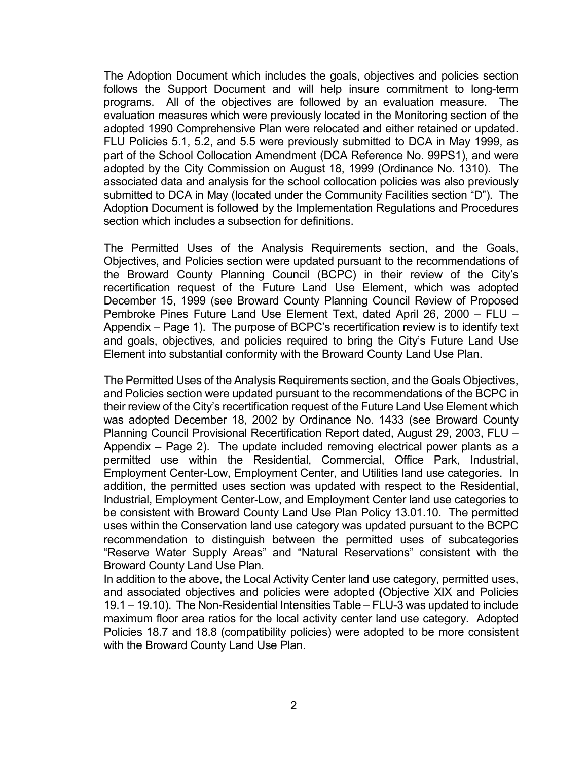The Adoption Document which includes the goals, objectives and policies section follows the Support Document and will help insure commitment to long-term programs. All of the objectives are followed by an evaluation measure. The evaluation measures which were previously located in the Monitoring section of the adopted 1990 Comprehensive Plan were relocated and either retained or updated. FLU Policies 5.1, 5.2, and 5.5 were previously submitted to DCA in May 1999, as part of the School Collocation Amendment (DCA Reference No. 99PS1), and were adopted by the City Commission on August 18, 1999 (Ordinance No. 1310). The associated data and analysis for the school collocation policies was also previously submitted to DCA in May (located under the Community Facilities section "D"). The Adoption Document is followed by the Implementation Regulations and Procedures section which includes a subsection for definitions.

 The Permitted Uses of the Analysis Requirements section, and the Goals, Objectives, and Policies section were updated pursuant to the recommendations of the Broward County Planning Council (BCPC) in their review of the City's recertification request of the Future Land Use Element, which was adopted December 15, 1999 (see Broward County Planning Council Review of Proposed Pembroke Pines Future Land Use Element Text, dated April 26, 2000 – FLU – Appendix – Page 1). The purpose of BCPC's recertification review is to identify text and goals, objectives, and policies required to bring the City's Future Land Use Element into substantial conformity with the Broward County Land Use Plan.

The Permitted Uses of the Analysis Requirements section, and the Goals Objectives, and Policies section were updated pursuant to the recommendations of the BCPC in their review of the City's recertification request of the Future Land Use Element which was adopted December 18, 2002 by Ordinance No. 1433 (see Broward County Planning Council Provisional Recertification Report dated, August 29, 2003, FLU – Appendix – Page 2). The update included removing electrical power plants as a permitted use within the Residential, Commercial, Office Park, Industrial, Employment Center-Low, Employment Center, and Utilities land use categories. In addition, the permitted uses section was updated with respect to the Residential, Industrial, Employment Center-Low, and Employment Center land use categories to be consistent with Broward County Land Use Plan Policy 13.01.10. The permitted uses within the Conservation land use category was updated pursuant to the BCPC recommendation to distinguish between the permitted uses of subcategories "Reserve Water Supply Areas" and "Natural Reservations" consistent with the Broward County Land Use Plan.

 In addition to the above, the Local Activity Center land use category, permitted uses, and associated objectives and policies were adopted (Objective XIX and Policies 19.1 – 19.10). The Non-Residential Intensities Table – FLU-3 was updated to include maximum floor area ratios for the local activity center land use category. Adopted Policies 18.7 and 18.8 (compatibility policies) were adopted to be more consistent with the Broward County Land Use Plan.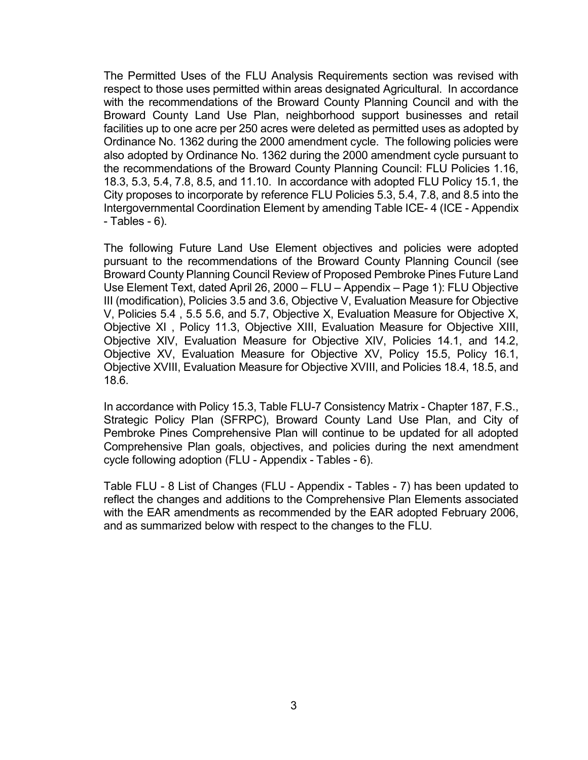The Permitted Uses of the FLU Analysis Requirements section was revised with respect to those uses permitted within areas designated Agricultural. In accordance with the recommendations of the Broward County Planning Council and with the Broward County Land Use Plan, neighborhood support businesses and retail facilities up to one acre per 250 acres were deleted as permitted uses as adopted by Ordinance No. 1362 during the 2000 amendment cycle. The following policies were also adopted by Ordinance No. 1362 during the 2000 amendment cycle pursuant to the recommendations of the Broward County Planning Council: FLU Policies 1.16, 18.3, 5.3, 5.4, 7.8, 8.5, and 11.10. In accordance with adopted FLU Policy 15.1, the City proposes to incorporate by reference FLU Policies 5.3, 5.4, 7.8, and 8.5 into the Intergovernmental Coordination Element by amending Table ICE- 4 (ICE - Appendix - Tables - 6).

 The following Future Land Use Element objectives and policies were adopted pursuant to the recommendations of the Broward County Planning Council (see Broward County Planning Council Review of Proposed Pembroke Pines Future Land Use Element Text, dated April 26, 2000 – FLU – Appendix – Page 1): FLU Objective III (modification), Policies 3.5 and 3.6, Objective V, Evaluation Measure for Objective V, Policies 5.4 , 5.5 5.6, and 5.7, Objective X, Evaluation Measure for Objective X, Objective XI , Policy 11.3, Objective XIII, Evaluation Measure for Objective XIII, Objective XIV, Evaluation Measure for Objective XIV, Policies 14.1, and 14.2, Objective XV, Evaluation Measure for Objective XV, Policy 15.5, Policy 16.1, Objective XVIII, Evaluation Measure for Objective XVIII, and Policies 18.4, 18.5, and 18.6.

 In accordance with Policy 15.3, Table FLU-7 Consistency Matrix - Chapter 187, F.S., Strategic Policy Plan (SFRPC), Broward County Land Use Plan, and City of Pembroke Pines Comprehensive Plan will continue to be updated for all adopted Comprehensive Plan goals, objectives, and policies during the next amendment cycle following adoption (FLU - Appendix - Tables - 6).

 Table FLU - 8 List of Changes (FLU - Appendix - Tables - 7) has been updated to reflect the changes and additions to the Comprehensive Plan Elements associated with the EAR amendments as recommended by the EAR adopted February 2006, and as summarized below with respect to the changes to the FLU.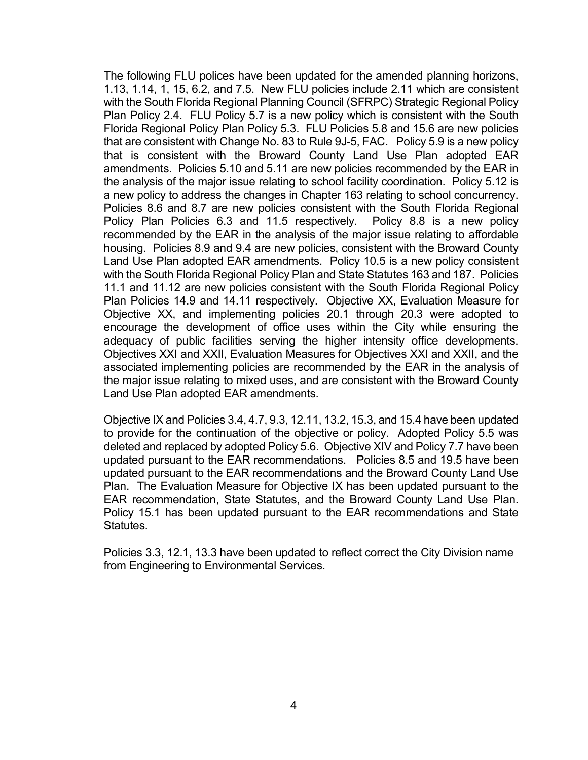The following FLU polices have been updated for the amended planning horizons, 1.13, 1.14, 1, 15, 6.2, and 7.5. New FLU policies include 2.11 which are consistent with the South Florida Regional Planning Council (SFRPC) Strategic Regional Policy Plan Policy 2.4. FLU Policy 5.7 is a new policy which is consistent with the South Florida Regional Policy Plan Policy 5.3. FLU Policies 5.8 and 15.6 are new policies that are consistent with Change No. 83 to Rule 9J-5, FAC. Policy 5.9 is a new policy that is consistent with the Broward County Land Use Plan adopted EAR amendments. Policies 5.10 and 5.11 are new policies recommended by the EAR in the analysis of the major issue relating to school facility coordination. Policy 5.12 is a new policy to address the changes in Chapter 163 relating to school concurrency. Policies 8.6 and 8.7 are new policies consistent with the South Florida Regional Policy Plan Policies 6.3 and 11.5 respectively. Policy 8.8 is a new policy recommended by the EAR in the analysis of the major issue relating to affordable housing. Policies 8.9 and 9.4 are new policies, consistent with the Broward County Land Use Plan adopted EAR amendments. Policy 10.5 is a new policy consistent with the South Florida Regional Policy Plan and State Statutes 163 and 187. Policies 11.1 and 11.12 are new policies consistent with the South Florida Regional Policy Plan Policies 14.9 and 14.11 respectively. Objective XX, Evaluation Measure for Objective XX, and implementing policies 20.1 through 20.3 were adopted to encourage the development of office uses within the City while ensuring the adequacy of public facilities serving the higher intensity office developments. Objectives XXI and XXII, Evaluation Measures for Objectives XXI and XXII, and the associated implementing policies are recommended by the EAR in the analysis of the major issue relating to mixed uses, and are consistent with the Broward County Land Use Plan adopted EAR amendments.

 Objective IX and Policies 3.4, 4.7, 9.3, 12.11, 13.2, 15.3, and 15.4 have been updated to provide for the continuation of the objective or policy. Adopted Policy 5.5 was deleted and replaced by adopted Policy 5.6. Objective XIV and Policy 7.7 have been updated pursuant to the EAR recommendations. Policies 8.5 and 19.5 have been updated pursuant to the EAR recommendations and the Broward County Land Use Plan. The Evaluation Measure for Objective IX has been updated pursuant to the EAR recommendation, State Statutes, and the Broward County Land Use Plan. Policy 15.1 has been updated pursuant to the EAR recommendations and State Statutes.

 Policies 3.3, 12.1, 13.3 have been updated to reflect correct the City Division name from Engineering to Environmental Services.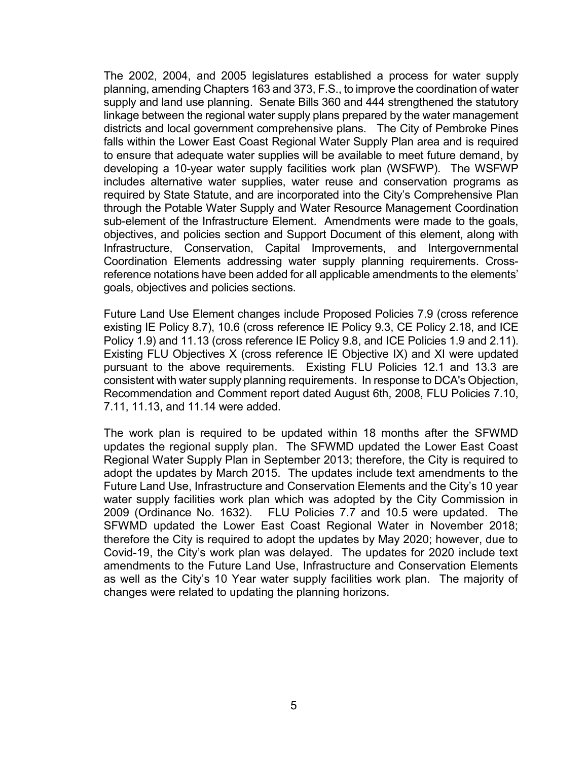The 2002, 2004, and 2005 legislatures established a process for water supply planning, amending Chapters 163 and 373, F.S., to improve the coordination of water supply and land use planning. Senate Bills 360 and 444 strengthened the statutory linkage between the regional water supply plans prepared by the water management districts and local government comprehensive plans. The City of Pembroke Pines falls within the Lower East Coast Regional Water Supply Plan area and is required to ensure that adequate water supplies will be available to meet future demand, by developing a 10-year water supply facilities work plan (WSFWP). The WSFWP includes alternative water supplies, water reuse and conservation programs as required by State Statute, and are incorporated into the City's Comprehensive Plan through the Potable Water Supply and Water Resource Management Coordination sub-element of the Infrastructure Element. Amendments were made to the goals, objectives, and policies section and Support Document of this element, along with Infrastructure, Conservation, Capital Improvements, and Intergovernmental Coordination Elements addressing water supply planning requirements. Crossreference notations have been added for all applicable amendments to the elements' goals, objectives and policies sections.

Future Land Use Element changes include Proposed Policies 7.9 (cross reference existing IE Policy 8.7), 10.6 (cross reference IE Policy 9.3, CE Policy 2.18, and ICE Policy 1.9) and 11.13 (cross reference IE Policy 9.8, and ICE Policies 1.9 and 2.11). Existing FLU Objectives X (cross reference IE Objective IX) and XI were updated pursuant to the above requirements. Existing FLU Policies 12.1 and 13.3 are consistent with water supply planning requirements. In response to DCA's Objection, Recommendation and Comment report dated August 6th, 2008, FLU Policies 7.10, 7.11, 11.13, and 11.14 were added.

The work plan is required to be updated within 18 months after the SFWMD updates the regional supply plan. The SFWMD updated the Lower East Coast Regional Water Supply Plan in September 2013; therefore, the City is required to adopt the updates by March 2015. The updates include text amendments to the Future Land Use, Infrastructure and Conservation Elements and the City's 10 year water supply facilities work plan which was adopted by the City Commission in 2009 (Ordinance No. 1632). FLU Policies 7.7 and 10.5 were updated. The SFWMD updated the Lower East Coast Regional Water in November 2018; therefore the City is required to adopt the updates by May 2020; however, due to Covid-19, the City's work plan was delayed. The updates for 2020 include text amendments to the Future Land Use, Infrastructure and Conservation Elements as well as the City's 10 Year water supply facilities work plan. The majority of changes were related to updating the planning horizons.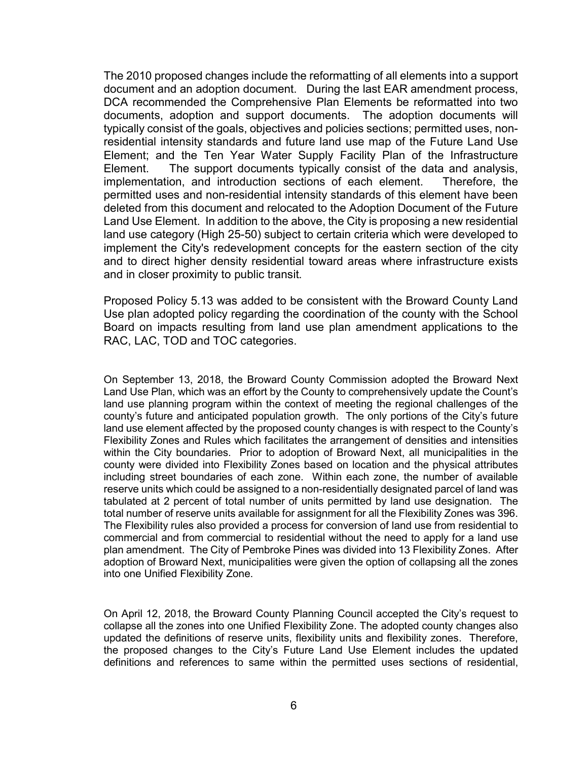The 2010 proposed changes include the reformatting of all elements into a support document and an adoption document. During the last EAR amendment process, DCA recommended the Comprehensive Plan Elements be reformatted into two documents, adoption and support documents. The adoption documents will typically consist of the goals, objectives and policies sections; permitted uses, nonresidential intensity standards and future land use map of the Future Land Use Element; and the Ten Year Water Supply Facility Plan of the Infrastructure Element. The support documents typically consist of the data and analysis, implementation, and introduction sections of each element. Therefore, the permitted uses and non-residential intensity standards of this element have been deleted from this document and relocated to the Adoption Document of the Future Land Use Element. In addition to the above, the City is proposing a new residential land use category (High 25-50) subject to certain criteria which were developed to implement the City's redevelopment concepts for the eastern section of the city and to direct higher density residential toward areas where infrastructure exists and in closer proximity to public transit.

Proposed Policy 5.13 was added to be consistent with the Broward County Land Use plan adopted policy regarding the coordination of the county with the School Board on impacts resulting from land use plan amendment applications to the RAC, LAC, TOD and TOC categories.

On September 13, 2018, the Broward County Commission adopted the Broward Next Land Use Plan, which was an effort by the County to comprehensively update the Count's land use planning program within the context of meeting the regional challenges of the county's future and anticipated population growth. The only portions of the City's future land use element affected by the proposed county changes is with respect to the County's Flexibility Zones and Rules which facilitates the arrangement of densities and intensities within the City boundaries. Prior to adoption of Broward Next, all municipalities in the county were divided into Flexibility Zones based on location and the physical attributes including street boundaries of each zone. Within each zone, the number of available reserve units which could be assigned to a non-residentially designated parcel of land was tabulated at 2 percent of total number of units permitted by land use designation. The total number of reserve units available for assignment for all the Flexibility Zones was 396. The Flexibility rules also provided a process for conversion of land use from residential to commercial and from commercial to residential without the need to apply for a land use plan amendment. The City of Pembroke Pines was divided into 13 Flexibility Zones. After adoption of Broward Next, municipalities were given the option of collapsing all the zones into one Unified Flexibility Zone.

On April 12, 2018, the Broward County Planning Council accepted the City's request to collapse all the zones into one Unified Flexibility Zone. The adopted county changes also updated the definitions of reserve units, flexibility units and flexibility zones. Therefore, the proposed changes to the City's Future Land Use Element includes the updated definitions and references to same within the permitted uses sections of residential,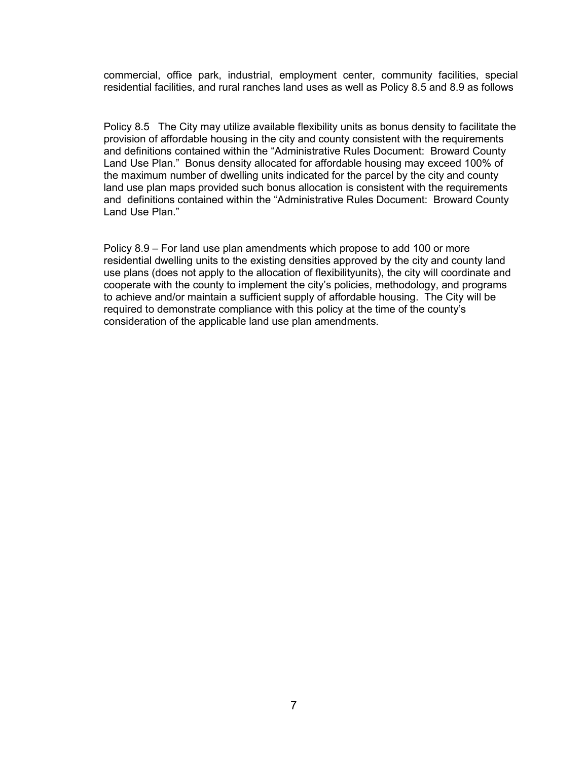commercial, office park, industrial, employment center, community facilities, special residential facilities, and rural ranches land uses as well as Policy 8.5 and 8.9 as follows

Policy 8.5 The City may utilize available flexibility units as bonus density to facilitate the provision of affordable housing in the city and county consistent with the requirements and definitions contained within the "Administrative Rules Document: Broward County Land Use Plan." Bonus density allocated for affordable housing may exceed 100% of the maximum number of dwelling units indicated for the parcel by the city and county land use plan maps provided such bonus allocation is consistent with the requirements and definitions contained within the "Administrative Rules Document: Broward County Land Use Plan."

Policy 8.9 – For land use plan amendments which propose to add 100 or more residential dwelling units to the existing densities approved by the city and county land use plans (does not apply to the allocation of flexibilityunits), the city will coordinate and cooperate with the county to implement the city's policies, methodology, and programs to achieve and/or maintain a sufficient supply of affordable housing. The City will be required to demonstrate compliance with this policy at the time of the county's consideration of the applicable land use plan amendments.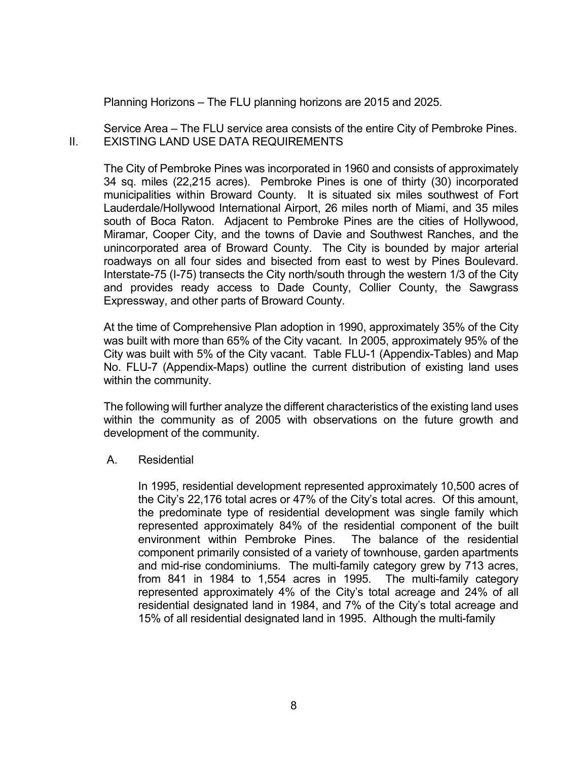Planning Horizons – The FLU planning horizons are 2015 and 2025.

 Service Area – The FLU service area consists of the entire City of Pembroke Pines. II. EXISTING LAND USE DATA REQUIREMENTS

 The City of Pembroke Pines was incorporated in 1960 and consists of approximately 34 sq. miles (22,215 acres). Pembroke Pines is one of thirty (30) incorporated municipalities within Broward County. It is situated six miles southwest of Fort Lauderdale/Hollywood International Airport, 26 miles north of Miami, and 35 miles south of Boca Raton. Adjacent to Pembroke Pines are the cities of Hollywood, Miramar, Cooper City, and the towns of Davie and Southwest Ranches, and the unincorporated area of Broward County. The City is bounded by major arterial roadways on all four sides and bisected from east to west by Pines Boulevard. Interstate-75 (I-75) transects the City north/south through the western 1/3 of the City and provides ready access to Dade County, Collier County, the Sawgrass Expressway, and other parts of Broward County.

 At the time of Comprehensive Plan adoption in 1990, approximately 35% of the City was built with more than 65% of the City vacant. In 2005, approximately 95% of the City was built with 5% of the City vacant. Table FLU-1 (Appendix-Tables) and Map No. FLU-7 (Appendix-Maps) outline the current distribution of existing land uses within the community.

The following will further analyze the different characteristics of the existing land uses within the community as of 2005 with observations on the future growth and development of the community.

A. Residential

In 1995, residential development represented approximately 10,500 acres of the City's 22,176 total acres or 47% of the City's total acres. Of this amount, the predominate type of residential development was single family which represented approximately 84% of the residential component of the built environment within Pembroke Pines. The balance of the residential component primarily consisted of a variety of townhouse, garden apartments and mid-rise condominiums. The multi-family category grew by 713 acres, from 841 in 1984 to 1,554 acres in 1995. The multi-family category represented approximately 4% of the City's total acreage and 24% of all residential designated land in 1984, and 7% of the City's total acreage and 15% of all residential designated land in 1995. Although the multi-family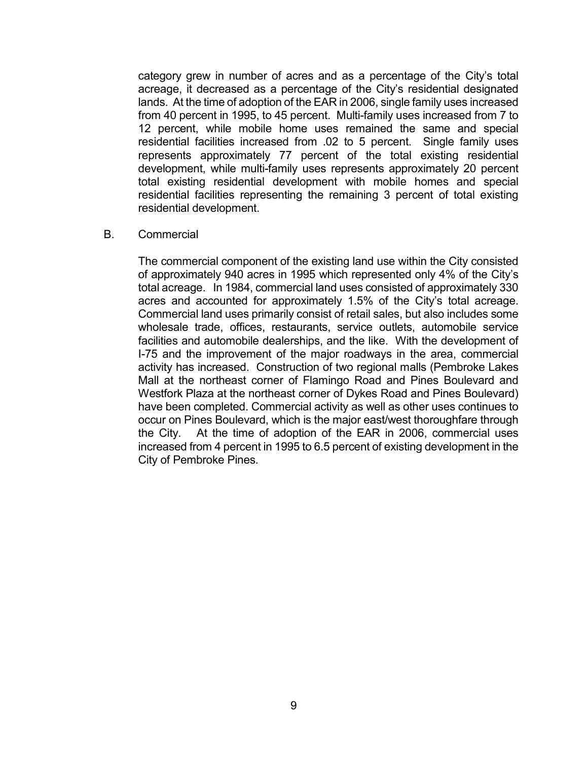category grew in number of acres and as a percentage of the City's total acreage, it decreased as a percentage of the City's residential designated lands. At the time of adoption of the EAR in 2006, single family uses increased from 40 percent in 1995, to 45 percent. Multi-family uses increased from 7 to 12 percent, while mobile home uses remained the same and special residential facilities increased from .02 to 5 percent. Single family uses represents approximately 77 percent of the total existing residential development, while multi-family uses represents approximately 20 percent total existing residential development with mobile homes and special residential facilities representing the remaining 3 percent of total existing residential development.

#### B. Commercial

 The commercial component of the existing land use within the City consisted of approximately 940 acres in 1995 which represented only 4% of the City's total acreage. In 1984, commercial land uses consisted of approximately 330 acres and accounted for approximately 1.5% of the City's total acreage. Commercial land uses primarily consist of retail sales, but also includes some wholesale trade, offices, restaurants, service outlets, automobile service facilities and automobile dealerships, and the like. With the development of I-75 and the improvement of the major roadways in the area, commercial activity has increased. Construction of two regional malls (Pembroke Lakes Mall at the northeast corner of Flamingo Road and Pines Boulevard and Westfork Plaza at the northeast corner of Dykes Road and Pines Boulevard) have been completed. Commercial activity as well as other uses continues to occur on Pines Boulevard, which is the major east/west thoroughfare through the City. At the time of adoption of the EAR in 2006, commercial uses increased from 4 percent in 1995 to 6.5 percent of existing development in the City of Pembroke Pines.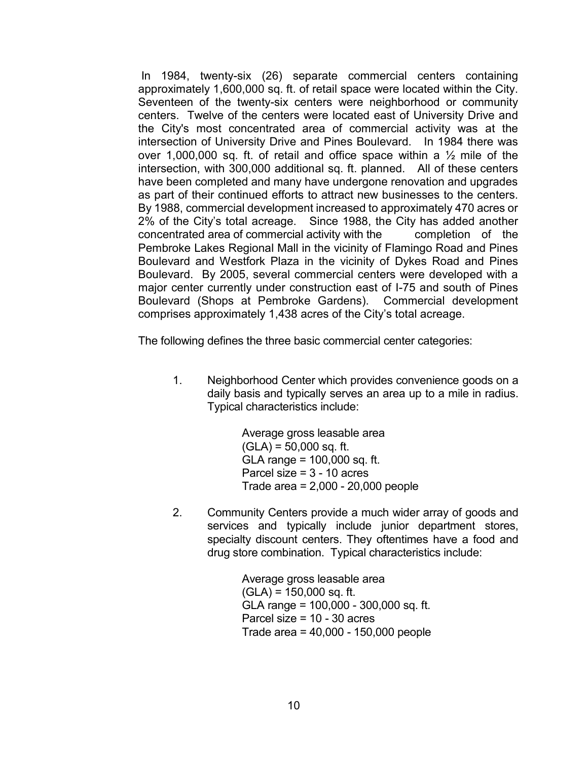In 1984, twenty-six (26) separate commercial centers containing approximately 1,600,000 sq. ft. of retail space were located within the City. Seventeen of the twenty-six centers were neighborhood or community centers. Twelve of the centers were located east of University Drive and the City's most concentrated area of commercial activity was at the intersection of University Drive and Pines Boulevard. In 1984 there was over 1,000,000 sq. ft. of retail and office space within a  $\frac{1}{2}$  mile of the intersection, with 300,000 additional sq. ft. planned. All of these centers have been completed and many have undergone renovation and upgrades as part of their continued efforts to attract new businesses to the centers. By 1988, commercial development increased to approximately 470 acres or 2% of the City's total acreage. Since 1988, the City has added another concentrated area of commercial activity with the completion of the Pembroke Lakes Regional Mall in the vicinity of Flamingo Road and Pines Boulevard and Westfork Plaza in the vicinity of Dykes Road and Pines Boulevard. By 2005, several commercial centers were developed with a major center currently under construction east of I-75 and south of Pines Boulevard (Shops at Pembroke Gardens). Commercial development comprises approximately 1,438 acres of the City's total acreage.

The following defines the three basic commercial center categories:

1. Neighborhood Center which provides convenience goods on a daily basis and typically serves an area up to a mile in radius. Typical characteristics include:

> Average gross leasable area  $(GLA) = 50,000$  sq. ft. GLA range = 100,000 sq. ft. Parcel size = 3 - 10 acres Trade area = 2,000 - 20,000 people

2. Community Centers provide a much wider array of goods and services and typically include junior department stores, specialty discount centers. They oftentimes have a food and drug store combination. Typical characteristics include:

> Average gross leasable area  $(GLA) = 150,000$  sq. ft. GLA range = 100,000 - 300,000 sq. ft. Parcel size = 10 - 30 acres Trade area = 40,000 - 150,000 people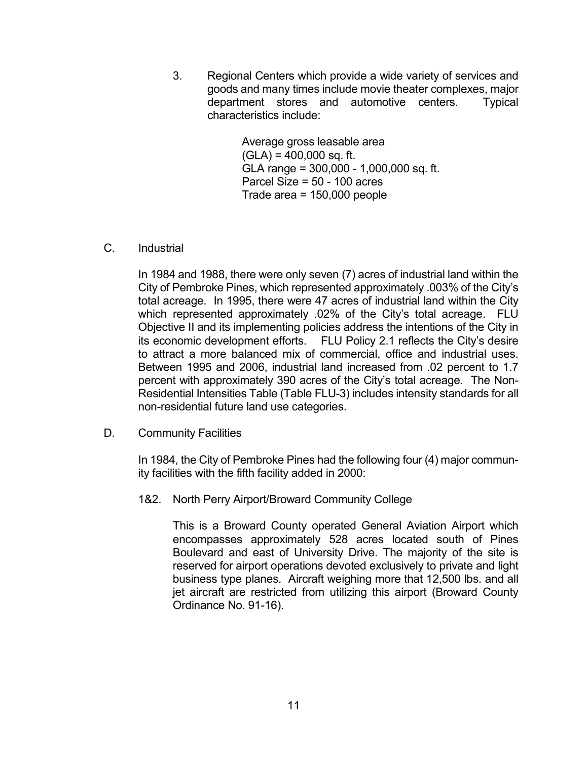3. Regional Centers which provide a wide variety of services and goods and many times include movie theater complexes, major department stores and automotive centers. Typical characteristics include:

> Average gross leasable area  $(GLA) = 400,000$  sq. ft. GLA range = 300,000 - 1,000,000 sq. ft. Parcel Size = 50 - 100 acres Trade area = 150,000 people

### C. Industrial

In 1984 and 1988, there were only seven (7) acres of industrial land within the City of Pembroke Pines, which represented approximately .003% of the City's total acreage. In 1995, there were 47 acres of industrial land within the City which represented approximately .02% of the City's total acreage. FLU Objective II and its implementing policies address the intentions of the City in its economic development efforts. FLU Policy 2.1 reflects the City's desire to attract a more balanced mix of commercial, office and industrial uses. Between 1995 and 2006, industrial land increased from .02 percent to 1.7 percent with approximately 390 acres of the City's total acreage. The Non-Residential Intensities Table (Table FLU-3) includes intensity standards for all non-residential future land use categories.

D. Community Facilities

 In 1984, the City of Pembroke Pines had the following four (4) major community facilities with the fifth facility added in 2000:

1&2. North Perry Airport/Broward Community College

 This is a Broward County operated General Aviation Airport which encompasses approximately 528 acres located south of Pines Boulevard and east of University Drive. The majority of the site is reserved for airport operations devoted exclusively to private and light business type planes. Aircraft weighing more that 12,500 lbs. and all jet aircraft are restricted from utilizing this airport (Broward County Ordinance No. 91-16).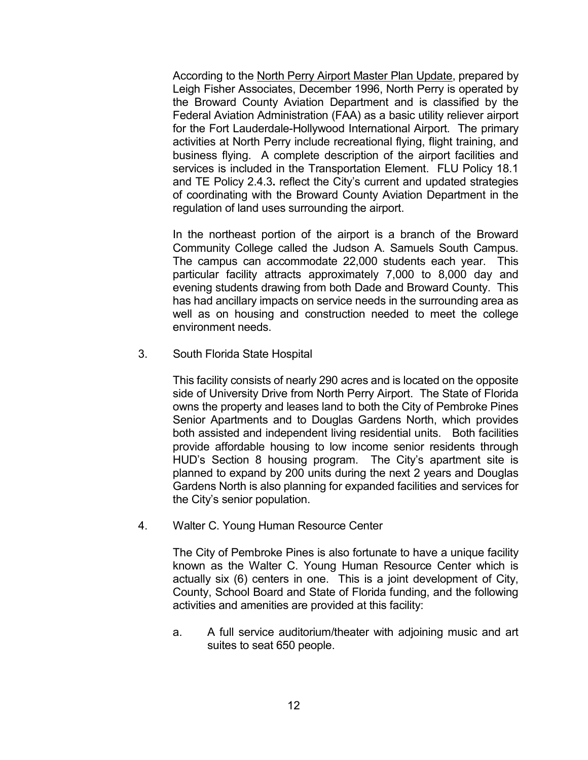According to the North Perry Airport Master Plan Update, prepared by Leigh Fisher Associates, December 1996, North Perry is operated by the Broward County Aviation Department and is classified by the Federal Aviation Administration (FAA) as a basic utility reliever airport for the Fort Lauderdale-Hollywood International Airport. The primary activities at North Perry include recreational flying, flight training, and business flying. A complete description of the airport facilities and services is included in the Transportation Element. FLU Policy 18.1 and TE Policy 2.4.3. reflect the City's current and updated strategies of coordinating with the Broward County Aviation Department in the regulation of land uses surrounding the airport.

 In the northeast portion of the airport is a branch of the Broward Community College called the Judson A. Samuels South Campus. The campus can accommodate 22,000 students each year. This particular facility attracts approximately 7,000 to 8,000 day and evening students drawing from both Dade and Broward County. This has had ancillary impacts on service needs in the surrounding area as well as on housing and construction needed to meet the college environment needs.

3. South Florida State Hospital

 This facility consists of nearly 290 acres and is located on the opposite side of University Drive from North Perry Airport. The State of Florida owns the property and leases land to both the City of Pembroke Pines Senior Apartments and to Douglas Gardens North, which provides both assisted and independent living residential units. Both facilities provide affordable housing to low income senior residents through HUD's Section 8 housing program. The City's apartment site is planned to expand by 200 units during the next 2 years and Douglas Gardens North is also planning for expanded facilities and services for the City's senior population.

4. Walter C. Young Human Resource Center

 The City of Pembroke Pines is also fortunate to have a unique facility known as the Walter C. Young Human Resource Center which is actually six (6) centers in one. This is a joint development of City, County, School Board and State of Florida funding, and the following activities and amenities are provided at this facility:

a. A full service auditorium/theater with adjoining music and art suites to seat 650 people.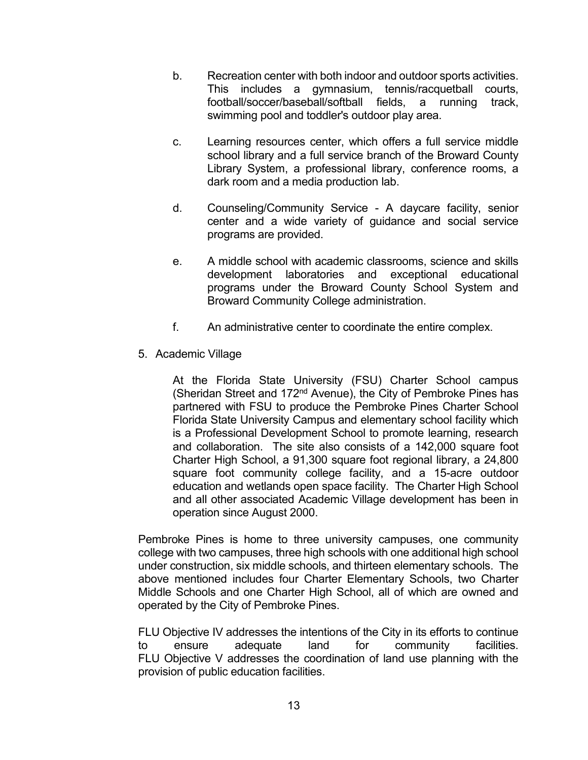- b. Recreation center with both indoor and outdoor sports activities. This includes a gymnasium, tennis/racquetball courts, football/soccer/baseball/softball fields, a running track, swimming pool and toddler's outdoor play area.
- c. Learning resources center, which offers a full service middle school library and a full service branch of the Broward County Library System, a professional library, conference rooms, a dark room and a media production lab.
- d. Counseling/Community Service A daycare facility, senior center and a wide variety of guidance and social service programs are provided.
- e. A middle school with academic classrooms, science and skills development laboratories and exceptional educational programs under the Broward County School System and Broward Community College administration.
- f. An administrative center to coordinate the entire complex.
- 5. Academic Village

At the Florida State University (FSU) Charter School campus (Sheridan Street and 172nd Avenue), the City of Pembroke Pines has partnered with FSU to produce the Pembroke Pines Charter School Florida State University Campus and elementary school facility which is a Professional Development School to promote learning, research and collaboration. The site also consists of a 142,000 square foot Charter High School, a 91,300 square foot regional library, a 24,800 square foot community college facility, and a 15-acre outdoor education and wetlands open space facility. The Charter High School and all other associated Academic Village development has been in operation since August 2000.

Pembroke Pines is home to three university campuses, one community college with two campuses, three high schools with one additional high school under construction, six middle schools, and thirteen elementary schools. The above mentioned includes four Charter Elementary Schools, two Charter Middle Schools and one Charter High School, all of which are owned and operated by the City of Pembroke Pines.

FLU Objective IV addresses the intentions of the City in its efforts to continue to ensure adequate land for community facilities. FLU Objective V addresses the coordination of land use planning with the provision of public education facilities.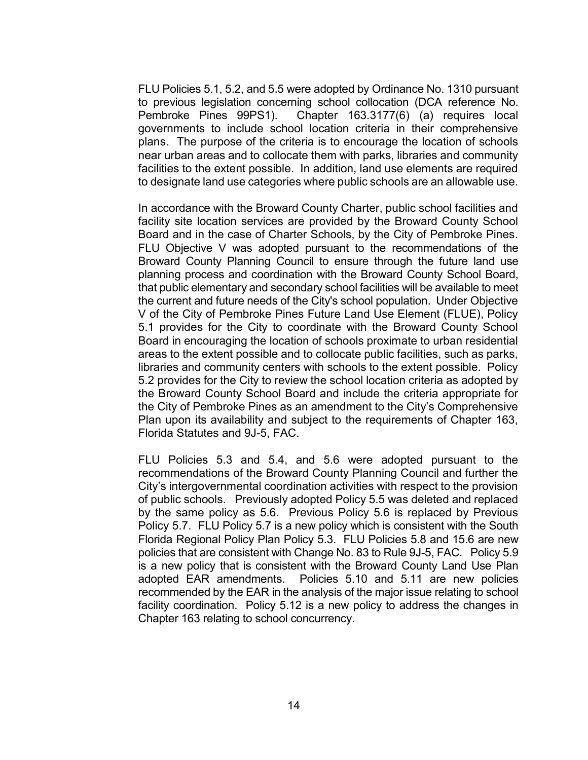FLU Policies 5.1, 5.2, and 5.5 were adopted by Ordinance No. 1310 pursuant to previous legislation concerning school collocation (DCA reference No. Pembroke Pines 99PS1). Chapter 163.3177(6) (a) requires local governments to include school location criteria in their comprehensive plans. The purpose of the criteria is to encourage the location of schools near urban areas and to collocate them with parks, libraries and community facilities to the extent possible. In addition, land use elements are required to designate land use categories where public schools are an allowable use.

In accordance with the Broward County Charter, public school facilities and facility site location services are provided by the Broward County School Board and in the case of Charter Schools, by the City of Pembroke Pines. FLU Objective V was adopted pursuant to the recommendations of the Broward County Planning Council to ensure through the future land use planning process and coordination with the Broward County School Board, that public elementary and secondary school facilities will be available to meet the current and future needs of the City's school population. Under Objective V of the City of Pembroke Pines Future Land Use Element (FLUE), Policy 5.1 provides for the City to coordinate with the Broward County School Board in encouraging the location of schools proximate to urban residential areas to the extent possible and to collocate public facilities, such as parks, libraries and community centers with schools to the extent possible. Policy 5.2 provides for the City to review the school location criteria as adopted by the Broward County School Board and include the criteria appropriate for the City of Pembroke Pines as an amendment to the City's Comprehensive Plan upon its availability and subject to the requirements of Chapter 163, Florida Statutes and 9J-5, FAC.

FLU Policies 5.3 and 5.4, and 5.6 were adopted pursuant to the recommendations of the Broward County Planning Council and further the City's intergovernmental coordination activities with respect to the provision of public schools. Previously adopted Policy 5.5 was deleted and replaced by the same policy as 5.6. Previous Policy 5.6 is replaced by Previous Policy 5.7. FLU Policy 5.7 is a new policy which is consistent with the South Florida Regional Policy Plan Policy 5.3. FLU Policies 5.8 and 15.6 are new policies that are consistent with Change No. 83 to Rule 9J-5, FAC. Policy 5.9 is a new policy that is consistent with the Broward County Land Use Plan adopted EAR amendments. Policies 5.10 and 5.11 are new policies recommended by the EAR in the analysis of the major issue relating to school facility coordination. Policy 5.12 is a new policy to address the changes in Chapter 163 relating to school concurrency.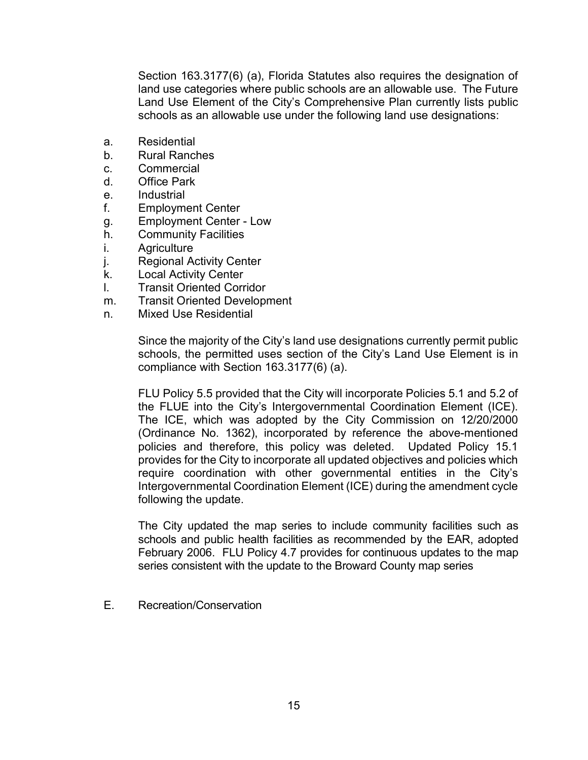Section 163.3177(6) (a), Florida Statutes also requires the designation of land use categories where public schools are an allowable use. The Future Land Use Element of the City's Comprehensive Plan currently lists public schools as an allowable use under the following land use designations:

- a. Residential
- b. Rural Ranches
- c. Commercial
- d. Office Park
- e. Industrial
- f. Employment Center
- g. Employment Center Low
- h. Community Facilities
- i. Agriculture
- j. Regional Activity Center
- k. Local Activity Center
- l. Transit Oriented Corridor
- m. Transit Oriented Development
- n. Mixed Use Residential

Since the majority of the City's land use designations currently permit public schools, the permitted uses section of the City's Land Use Element is in compliance with Section 163.3177(6) (a).

FLU Policy 5.5 provided that the City will incorporate Policies 5.1 and 5.2 of the FLUE into the City's Intergovernmental Coordination Element (ICE). The ICE, which was adopted by the City Commission on 12/20/2000 (Ordinance No. 1362), incorporated by reference the above-mentioned policies and therefore, this policy was deleted. Updated Policy 15.1 provides for the City to incorporate all updated objectives and policies which require coordination with other governmental entities in the City's Intergovernmental Coordination Element (ICE) during the amendment cycle following the update.

The City updated the map series to include community facilities such as schools and public health facilities as recommended by the EAR, adopted February 2006. FLU Policy 4.7 provides for continuous updates to the map series consistent with the update to the Broward County map series

E. Recreation/Conservation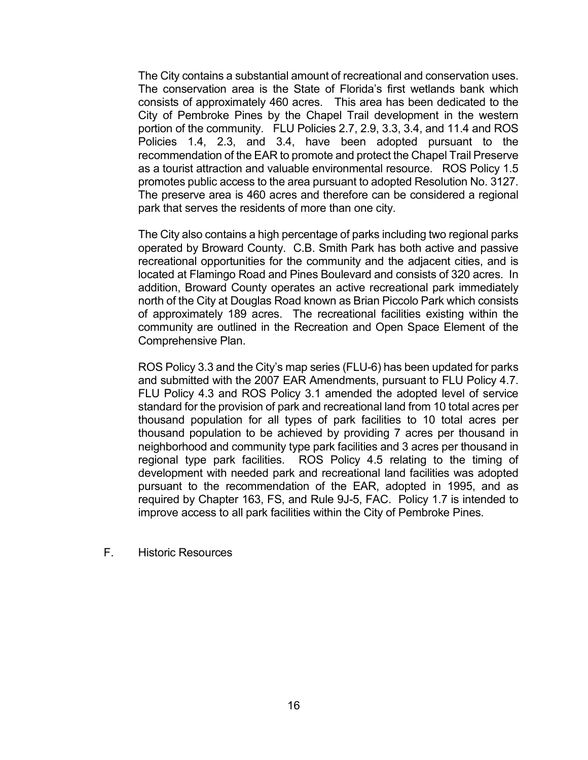The City contains a substantial amount of recreational and conservation uses. The conservation area is the State of Florida's first wetlands bank which consists of approximately 460 acres. This area has been dedicated to the City of Pembroke Pines by the Chapel Trail development in the western portion of the community. FLU Policies 2.7, 2.9, 3.3, 3.4, and 11.4 and ROS Policies 1.4, 2.3, and 3.4, have been adopted pursuant to the recommendation of the EAR to promote and protect the Chapel Trail Preserve as a tourist attraction and valuable environmental resource. ROS Policy 1.5 promotes public access to the area pursuant to adopted Resolution No. 3127. The preserve area is 460 acres and therefore can be considered a regional park that serves the residents of more than one city.

 The City also contains a high percentage of parks including two regional parks operated by Broward County. C.B. Smith Park has both active and passive recreational opportunities for the community and the adjacent cities, and is located at Flamingo Road and Pines Boulevard and consists of 320 acres. In addition, Broward County operates an active recreational park immediately north of the City at Douglas Road known as Brian Piccolo Park which consists of approximately 189 acres. The recreational facilities existing within the community are outlined in the Recreation and Open Space Element of the Comprehensive Plan.

ROS Policy 3.3 and the City's map series (FLU-6) has been updated for parks and submitted with the 2007 EAR Amendments, pursuant to FLU Policy 4.7. FLU Policy 4.3 and ROS Policy 3.1 amended the adopted level of service standard for the provision of park and recreational land from 10 total acres per thousand population for all types of park facilities to 10 total acres per thousand population to be achieved by providing 7 acres per thousand in neighborhood and community type park facilities and 3 acres per thousand in regional type park facilities. ROS Policy 4.5 relating to the timing of development with needed park and recreational land facilities was adopted pursuant to the recommendation of the EAR, adopted in 1995, and as required by Chapter 163, FS, and Rule 9J-5, FAC. Policy 1.7 is intended to improve access to all park facilities within the City of Pembroke Pines.

F. Historic Resources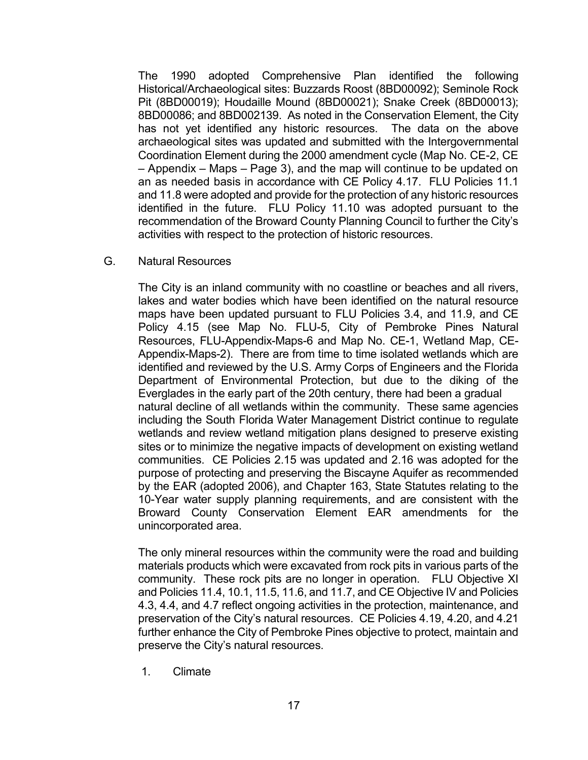The 1990 adopted Comprehensive Plan identified the following Historical/Archaeological sites: Buzzards Roost (8BD00092); Seminole Rock Pit (8BD00019); Houdaille Mound (8BD00021); Snake Creek (8BD00013); 8BD00086; and 8BD002139. As noted in the Conservation Element, the City has not yet identified any historic resources. The data on the above archaeological sites was updated and submitted with the Intergovernmental Coordination Element during the 2000 amendment cycle (Map No. CE-2, CE – Appendix – Maps – Page 3), and the map will continue to be updated on an as needed basis in accordance with CE Policy 4.17. FLU Policies 11.1 and 11.8 were adopted and provide for the protection of any historic resources identified in the future. FLU Policy 11.10 was adopted pursuant to the recommendation of the Broward County Planning Council to further the City's activities with respect to the protection of historic resources.

G. Natural Resources

 The City is an inland community with no coastline or beaches and all rivers, lakes and water bodies which have been identified on the natural resource maps have been updated pursuant to FLU Policies 3.4, and 11.9, and CE Policy 4.15 (see Map No. FLU-5, City of Pembroke Pines Natural Resources, FLU-Appendix-Maps-6 and Map No. CE-1, Wetland Map, CE- Appendix-Maps-2). There are from time to time isolated wetlands which are identified and reviewed by the U.S. Army Corps of Engineers and the Florida Department of Environmental Protection, but due to the diking of the Everglades in the early part of the 20th century, there had been a gradual natural decline of all wetlands within the community. These same agencies including the South Florida Water Management District continue to regulate wetlands and review wetland mitigation plans designed to preserve existing sites or to minimize the negative impacts of development on existing wetland communities. CE Policies 2.15 was updated and 2.16 was adopted for the purpose of protecting and preserving the Biscayne Aquifer as recommended by the EAR (adopted 2006), and Chapter 163, State Statutes relating to the 10-Year water supply planning requirements, and are consistent with the Broward County Conservation Element EAR amendments for the unincorporated area.

 The only mineral resources within the community were the road and building materials products which were excavated from rock pits in various parts of the community. These rock pits are no longer in operation. FLU Objective XI and Policies 11.4, 10.1, 11.5, 11.6, and 11.7, and CE Objective IV and Policies 4.3, 4.4, and 4.7 reflect ongoing activities in the protection, maintenance, and preservation of the City's natural resources. CE Policies 4.19, 4.20, and 4.21 further enhance the City of Pembroke Pines objective to protect, maintain and preserve the City's natural resources.

1. Climate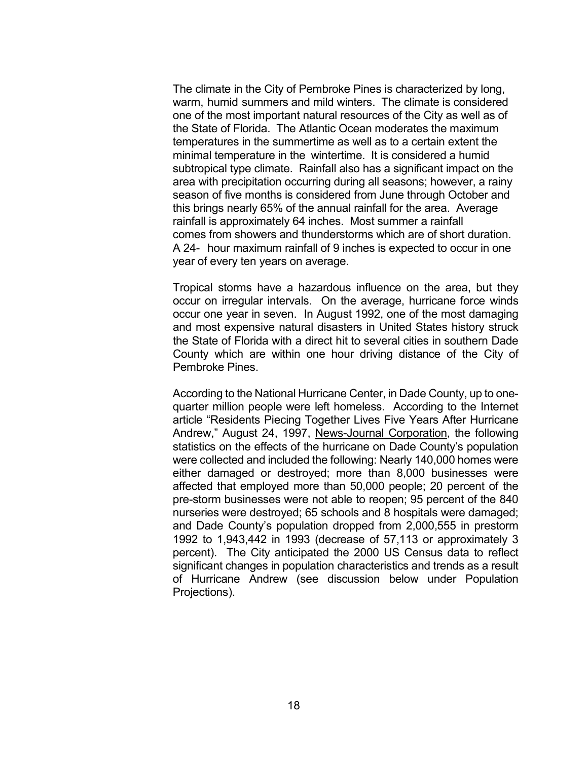The climate in the City of Pembroke Pines is characterized by long, warm, humid summers and mild winters. The climate is considered one of the most important natural resources of the City as well as of the State of Florida. The Atlantic Ocean moderates the maximum temperatures in the summertime as well as to a certain extent the minimal temperature in the wintertime. It is considered a humid subtropical type climate. Rainfall also has a significant impact on the area with precipitation occurring during all seasons; however, a rainy season of five months is considered from June through October and this brings nearly 65% of the annual rainfall for the area. Average rainfall is approximately 64 inches. Most summer a rainfall comes from showers and thunderstorms which are of short duration. A 24- hour maximum rainfall of 9 inches is expected to occur in one year of every ten years on average.

Tropical storms have a hazardous influence on the area, but they occur on irregular intervals. On the average, hurricane force winds occur one year in seven. In August 1992, one of the most damaging and most expensive natural disasters in United States history struck the State of Florida with a direct hit to several cities in southern Dade County which are within one hour driving distance of the City of Pembroke Pines.

 According to the National Hurricane Center, in Dade County, up to onequarter million people were left homeless. According to the Internet article "Residents Piecing Together Lives Five Years After Hurricane Andrew," August 24, 1997, News-Journal Corporation, the following statistics on the effects of the hurricane on Dade County's population were collected and included the following: Nearly 140,000 homes were either damaged or destroyed; more than 8,000 businesses were affected that employed more than 50,000 people; 20 percent of the pre-storm businesses were not able to reopen; 95 percent of the 840 nurseries were destroyed; 65 schools and 8 hospitals were damaged; and Dade County's population dropped from 2,000,555 in prestorm 1992 to 1,943,442 in 1993 (decrease of 57,113 or approximately 3 percent). The City anticipated the 2000 US Census data to reflect significant changes in population characteristics and trends as a result of Hurricane Andrew (see discussion below under Population Projections).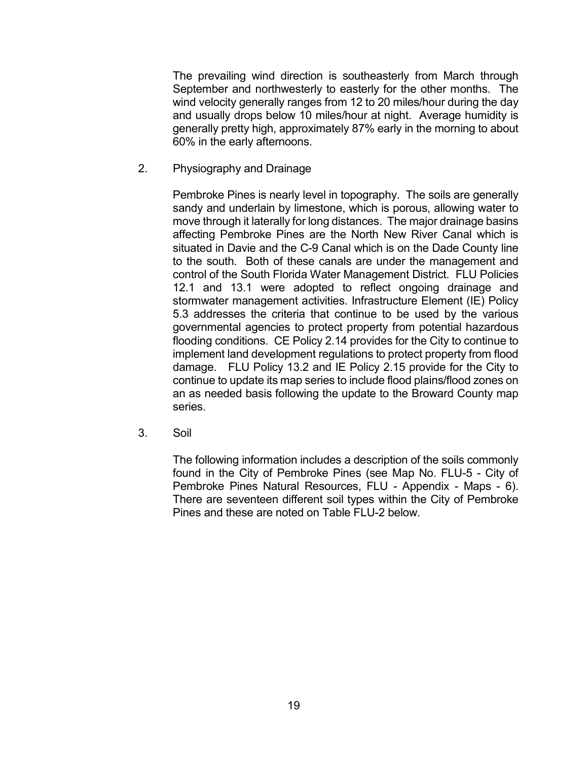The prevailing wind direction is southeasterly from March through September and northwesterly to easterly for the other months. The wind velocity generally ranges from 12 to 20 miles/hour during the day and usually drops below 10 miles/hour at night. Average humidity is generally pretty high, approximately 87% early in the morning to about 60% in the early afternoons.

2. Physiography and Drainage

Pembroke Pines is nearly level in topography. The soils are generally sandy and underlain by limestone, which is porous, allowing water to move through it laterally for long distances. The major drainage basins affecting Pembroke Pines are the North New River Canal which is situated in Davie and the C-9 Canal which is on the Dade County line to the south. Both of these canals are under the management and control of the South Florida Water Management District. FLU Policies 12.1 and 13.1 were adopted to reflect ongoing drainage and stormwater management activities. Infrastructure Element (IE) Policy 5.3 addresses the criteria that continue to be used by the various governmental agencies to protect property from potential hazardous flooding conditions. CE Policy 2.14 provides for the City to continue to implement land development regulations to protect property from flood damage. FLU Policy 13.2 and IE Policy 2.15 provide for the City to continue to update its map series to include flood plains/flood zones on an as needed basis following the update to the Broward County map series.

3. Soil

 The following information includes a description of the soils commonly found in the City of Pembroke Pines (see Map No. FLU-5 - City of Pembroke Pines Natural Resources, FLU - Appendix - Maps - 6). There are seventeen different soil types within the City of Pembroke Pines and these are noted on Table FLU-2 below.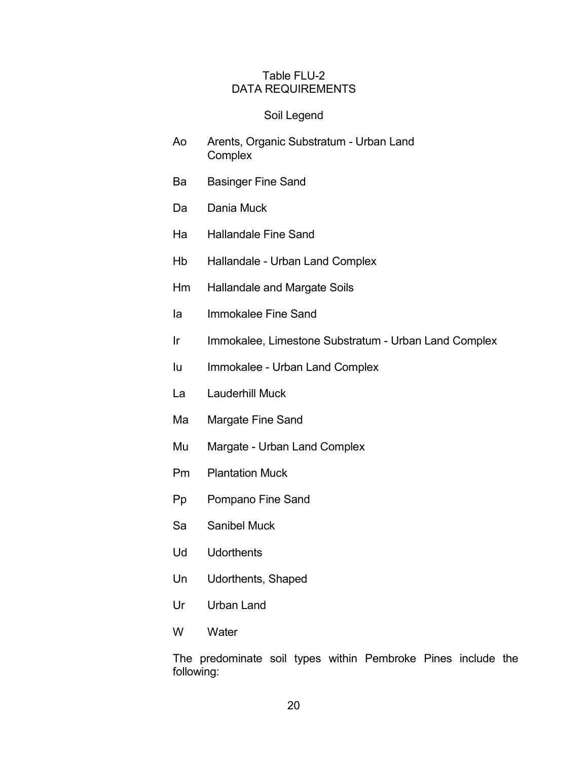#### Table FLU-2 DATA REQUIREMENTS

#### Soil Legend

- Ao Arents, Organic Substratum Urban Land **Complex**
- Ba Basinger Fine Sand
- Da Dania Muck
- Ha Hallandale Fine Sand
- Hb Hallandale Urban Land Complex
- Hm Hallandale and Margate Soils
- Ia Immokalee Fine Sand
- Ir Immokalee, Limestone Substratum Urban Land Complex
- Iu Immokalee Urban Land Complex
- La Lauderhill Muck
- Ma Margate Fine Sand
- Mu Margate Urban Land Complex
- Pm Plantation Muck
- Pp Pompano Fine Sand
- Sa Sanibel Muck
- Ud Udorthents
- Un Udorthents, Shaped
- Ur Urban Land
- W Water

 The predominate soil types within Pembroke Pines include the following: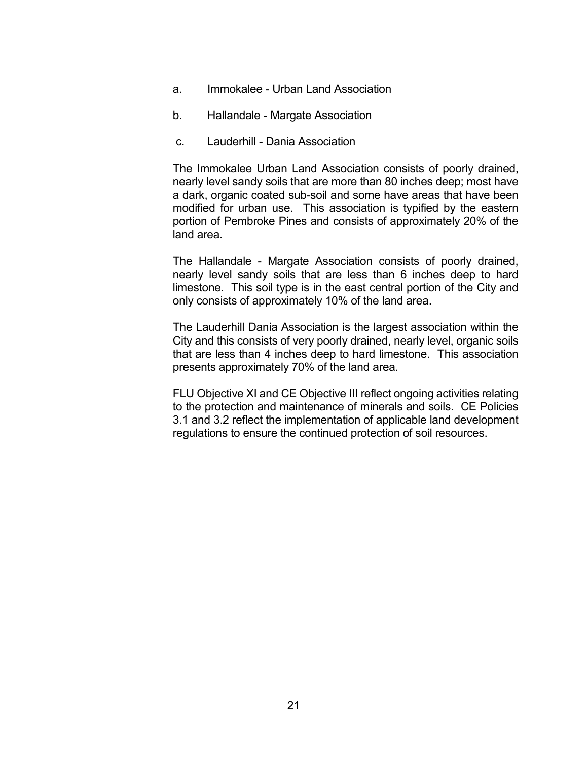- a. Immokalee Urban Land Association
- b. Hallandale Margate Association
- c. Lauderhill Dania Association

 The Immokalee Urban Land Association consists of poorly drained, nearly level sandy soils that are more than 80 inches deep; most have a dark, organic coated sub-soil and some have areas that have been modified for urban use. This association is typified by the eastern portion of Pembroke Pines and consists of approximately 20% of the land area.

 The Hallandale - Margate Association consists of poorly drained, nearly level sandy soils that are less than 6 inches deep to hard limestone. This soil type is in the east central portion of the City and only consists of approximately 10% of the land area.

 The Lauderhill Dania Association is the largest association within the City and this consists of very poorly drained, nearly level, organic soils that are less than 4 inches deep to hard limestone. This association presents approximately 70% of the land area.

FLU Objective XI and CE Objective III reflect ongoing activities relating to the protection and maintenance of minerals and soils. CE Policies 3.1 and 3.2 reflect the implementation of applicable land development regulations to ensure the continued protection of soil resources.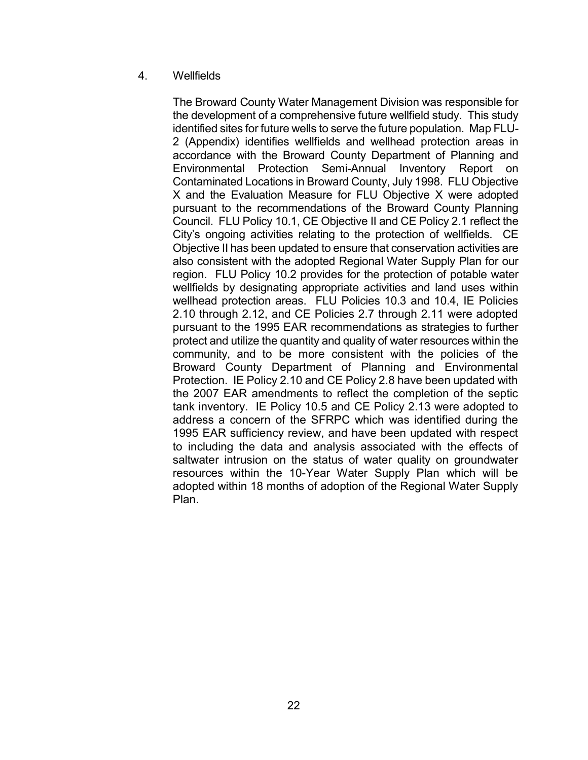## 4. Wellfields

The Broward County Water Management Division was responsible for the development of a comprehensive future wellfield study. This study identified sites for future wells to serve the future population. Map FLU-2 (Appendix) identifies wellfields and wellhead protection areas in accordance with the Broward County Department of Planning and Environmental Protection Semi-Annual Inventory Report on Contaminated Locations in Broward County, July 1998. FLU Objective X and the Evaluation Measure for FLU Objective X were adopted pursuant to the recommendations of the Broward County Planning Council. FLU Policy 10.1, CE Objective II and CE Policy 2.1 reflect the City's ongoing activities relating to the protection of wellfields. CE Objective II has been updated to ensure that conservation activities are also consistent with the adopted Regional Water Supply Plan for our region. FLU Policy 10.2 provides for the protection of potable water wellfields by designating appropriate activities and land uses within wellhead protection areas. FLU Policies 10.3 and 10.4, IE Policies 2.10 through 2.12, and CE Policies 2.7 through 2.11 were adopted pursuant to the 1995 EAR recommendations as strategies to further protect and utilize the quantity and quality of water resources within the community, and to be more consistent with the policies of the Broward County Department of Planning and Environmental Protection. IE Policy 2.10 and CE Policy 2.8 have been updated with the 2007 EAR amendments to reflect the completion of the septic tank inventory. IE Policy 10.5 and CE Policy 2.13 were adopted to address a concern of the SFRPC which was identified during the 1995 EAR sufficiency review, and have been updated with respect to including the data and analysis associated with the effects of saltwater intrusion on the status of water quality on groundwater resources within the 10-Year Water Supply Plan which will be adopted within 18 months of adoption of the Regional Water Supply Plan.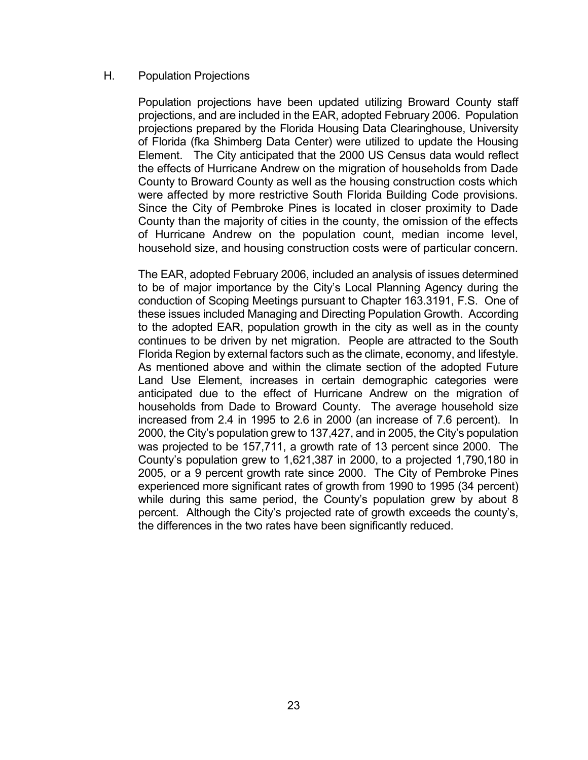#### H. Population Projections

 Population projections have been updated utilizing Broward County staff projections, and are included in the EAR, adopted February 2006. Population projections prepared by the Florida Housing Data Clearinghouse, University of Florida (fka Shimberg Data Center) were utilized to update the Housing Element. The City anticipated that the 2000 US Census data would reflect the effects of Hurricane Andrew on the migration of households from Dade County to Broward County as well as the housing construction costs which were affected by more restrictive South Florida Building Code provisions. Since the City of Pembroke Pines is located in closer proximity to Dade County than the majority of cities in the county, the omission of the effects of Hurricane Andrew on the population count, median income level, household size, and housing construction costs were of particular concern.

 The EAR, adopted February 2006, included an analysis of issues determined to be of major importance by the City's Local Planning Agency during the conduction of Scoping Meetings pursuant to Chapter 163.3191, F.S. One of these issues included Managing and Directing Population Growth. According to the adopted EAR, population growth in the city as well as in the county continues to be driven by net migration. People are attracted to the South Florida Region by external factors such as the climate, economy, and lifestyle. As mentioned above and within the climate section of the adopted Future Land Use Element, increases in certain demographic categories were anticipated due to the effect of Hurricane Andrew on the migration of households from Dade to Broward County. The average household size increased from 2.4 in 1995 to 2.6 in 2000 (an increase of 7.6 percent). In 2000, the City's population grew to 137,427, and in 2005, the City's population was projected to be 157,711, a growth rate of 13 percent since 2000. The County's population grew to 1,621,387 in 2000, to a projected 1,790,180 in 2005, or a 9 percent growth rate since 2000. The City of Pembroke Pines experienced more significant rates of growth from 1990 to 1995 (34 percent) while during this same period, the County's population grew by about 8 percent. Although the City's projected rate of growth exceeds the county's, the differences in the two rates have been significantly reduced.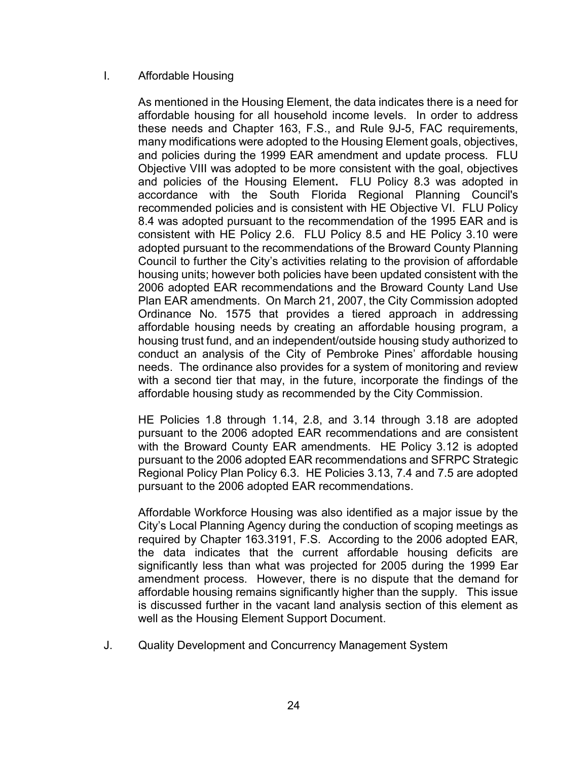## I. Affordable Housing

As mentioned in the Housing Element, the data indicates there is a need for affordable housing for all household income levels. In order to address these needs and Chapter 163, F.S., and Rule 9J-5, FAC requirements, many modifications were adopted to the Housing Element goals, objectives, and policies during the 1999 EAR amendment and update process. FLU Objective VIII was adopted to be more consistent with the goal, objectives and policies of the Housing Element. FLU Policy 8.3 was adopted in accordance with the South Florida Regional Planning Council's recommended policies and is consistent with HE Objective VI. FLU Policy 8.4 was adopted pursuant to the recommendation of the 1995 EAR and is consistent with HE Policy 2.6. FLU Policy 8.5 and HE Policy 3.10 were adopted pursuant to the recommendations of the Broward County Planning Council to further the City's activities relating to the provision of affordable housing units; however both policies have been updated consistent with the 2006 adopted EAR recommendations and the Broward County Land Use Plan EAR amendments. On March 21, 2007, the City Commission adopted Ordinance No. 1575 that provides a tiered approach in addressing affordable housing needs by creating an affordable housing program, a housing trust fund, and an independent/outside housing study authorized to conduct an analysis of the City of Pembroke Pines' affordable housing needs. The ordinance also provides for a system of monitoring and review with a second tier that may, in the future, incorporate the findings of the affordable housing study as recommended by the City Commission.

HE Policies 1.8 through 1.14, 2.8, and 3.14 through 3.18 are adopted pursuant to the 2006 adopted EAR recommendations and are consistent with the Broward County EAR amendments. HE Policy 3.12 is adopted pursuant to the 2006 adopted EAR recommendations and SFRPC Strategic Regional Policy Plan Policy 6.3. HE Policies 3.13, 7.4 and 7.5 are adopted pursuant to the 2006 adopted EAR recommendations.

Affordable Workforce Housing was also identified as a major issue by the City's Local Planning Agency during the conduction of scoping meetings as required by Chapter 163.3191, F.S. According to the 2006 adopted EAR, the data indicates that the current affordable housing deficits are significantly less than what was projected for 2005 during the 1999 Ear amendment process. However, there is no dispute that the demand for affordable housing remains significantly higher than the supply. This issue is discussed further in the vacant land analysis section of this element as well as the Housing Element Support Document.

J. Quality Development and Concurrency Management System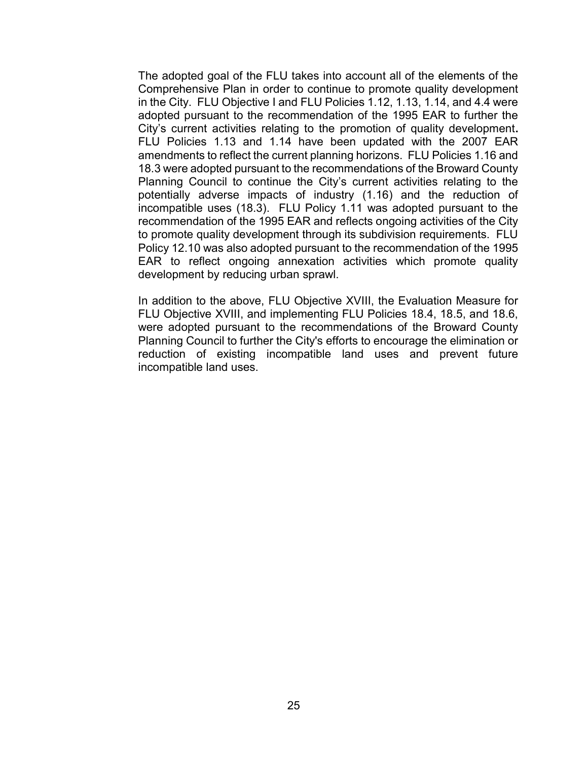The adopted goal of the FLU takes into account all of the elements of the Comprehensive Plan in order to continue to promote quality development in the City. FLU Objective I and FLU Policies 1.12, 1.13, 1.14, and 4.4 were adopted pursuant to the recommendation of the 1995 EAR to further the City's current activities relating to the promotion of quality development. FLU Policies 1.13 and 1.14 have been updated with the 2007 EAR amendments to reflect the current planning horizons. FLU Policies 1.16 and 18.3 were adopted pursuant to the recommendations of the Broward County Planning Council to continue the City's current activities relating to the potentially adverse impacts of industry (1.16) and the reduction of incompatible uses (18.3). FLU Policy 1.11 was adopted pursuant to the recommendation of the 1995 EAR and reflects ongoing activities of the City to promote quality development through its subdivision requirements. FLU Policy 12.10 was also adopted pursuant to the recommendation of the 1995 EAR to reflect ongoing annexation activities which promote quality development by reducing urban sprawl.

In addition to the above, FLU Objective XVIII, the Evaluation Measure for FLU Objective XVIII, and implementing FLU Policies 18.4, 18.5, and 18.6, were adopted pursuant to the recommendations of the Broward County Planning Council to further the City's efforts to encourage the elimination or reduction of existing incompatible land uses and prevent future incompatible land uses.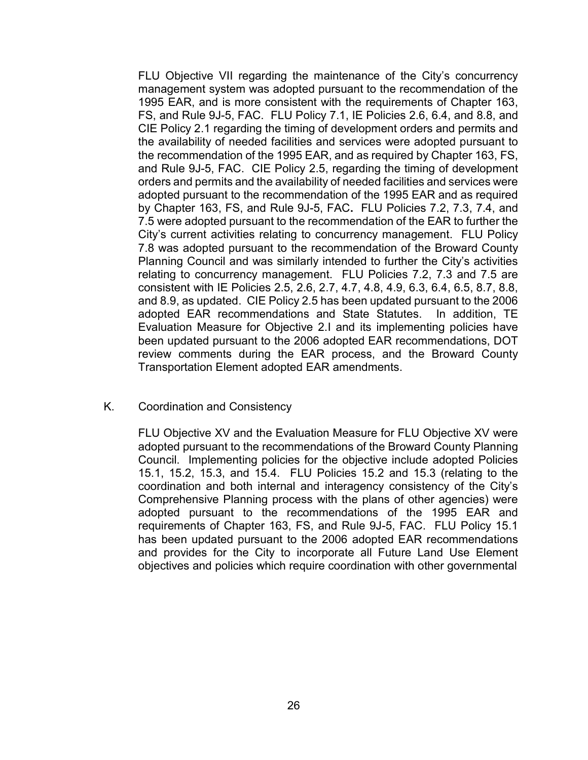FLU Objective VII regarding the maintenance of the City's concurrency management system was adopted pursuant to the recommendation of the 1995 EAR, and is more consistent with the requirements of Chapter 163, FS, and Rule 9J-5, FAC. FLU Policy 7.1, IE Policies 2.6, 6.4, and 8.8, and CIE Policy 2.1 regarding the timing of development orders and permits and the availability of needed facilities and services were adopted pursuant to the recommendation of the 1995 EAR, and as required by Chapter 163, FS, and Rule 9J-5, FAC. CIE Policy 2.5, regarding the timing of development orders and permits and the availability of needed facilities and services were adopted pursuant to the recommendation of the 1995 EAR and as required by Chapter 163, FS, and Rule 9J-5, FAC. FLU Policies 7.2, 7.3, 7.4, and 7.5 were adopted pursuant to the recommendation of the EAR to further the City's current activities relating to concurrency management. FLU Policy 7.8 was adopted pursuant to the recommendation of the Broward County Planning Council and was similarly intended to further the City's activities relating to concurrency management. FLU Policies 7.2, 7.3 and 7.5 are consistent with IE Policies 2.5, 2.6, 2.7, 4.7, 4.8, 4.9, 6.3, 6.4, 6.5, 8.7, 8.8, and 8.9, as updated. CIE Policy 2.5 has been updated pursuant to the 2006 adopted EAR recommendations and State Statutes. In addition, TE Evaluation Measure for Objective 2.I and its implementing policies have been updated pursuant to the 2006 adopted EAR recommendations, DOT review comments during the EAR process, and the Broward County Transportation Element adopted EAR amendments.

#### K. Coordination and Consistency

FLU Objective XV and the Evaluation Measure for FLU Objective XV were adopted pursuant to the recommendations of the Broward County Planning Council. Implementing policies for the objective include adopted Policies 15.1, 15.2, 15.3, and 15.4. FLU Policies 15.2 and 15.3 (relating to the coordination and both internal and interagency consistency of the City's Comprehensive Planning process with the plans of other agencies) were adopted pursuant to the recommendations of the 1995 EAR and requirements of Chapter 163, FS, and Rule 9J-5, FAC. FLU Policy 15.1 has been updated pursuant to the 2006 adopted EAR recommendations and provides for the City to incorporate all Future Land Use Element objectives and policies which require coordination with other governmental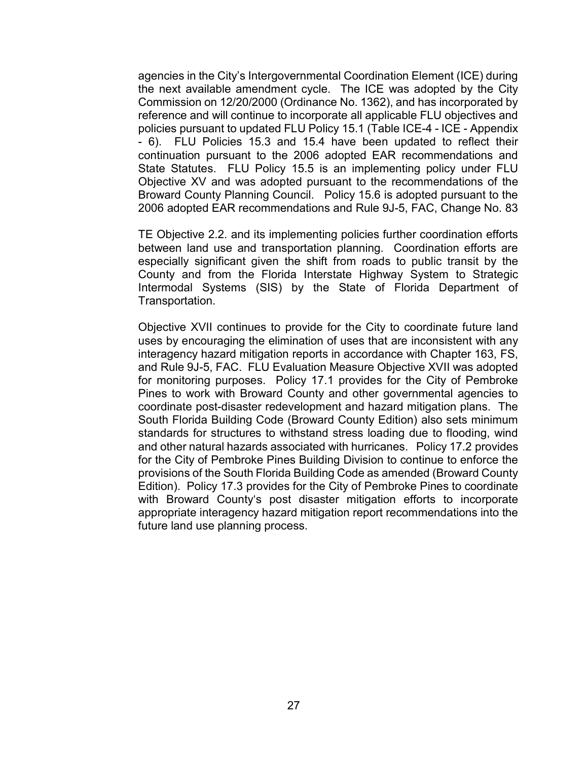agencies in the City's Intergovernmental Coordination Element (ICE) during the next available amendment cycle. The ICE was adopted by the City Commission on 12/20/2000 (Ordinance No. 1362), and has incorporated by reference and will continue to incorporate all applicable FLU objectives and policies pursuant to updated FLU Policy 15.1 (Table ICE-4 - ICE - Appendix - 6). FLU Policies 15.3 and 15.4 have been updated to reflect their continuation pursuant to the 2006 adopted EAR recommendations and State Statutes. FLU Policy 15.5 is an implementing policy under FLU Objective XV and was adopted pursuant to the recommendations of the Broward County Planning Council. Policy 15.6 is adopted pursuant to the 2006 adopted EAR recommendations and Rule 9J-5, FAC, Change No. 83

TE Objective 2.2. and its implementing policies further coordination efforts between land use and transportation planning. Coordination efforts are especially significant given the shift from roads to public transit by the County and from the Florida Interstate Highway System to Strategic Intermodal Systems (SIS) by the State of Florida Department of Transportation.

Objective XVII continues to provide for the City to coordinate future land uses by encouraging the elimination of uses that are inconsistent with any interagency hazard mitigation reports in accordance with Chapter 163, FS, and Rule 9J-5, FAC. FLU Evaluation Measure Objective XVII was adopted for monitoring purposes. Policy 17.1 provides for the City of Pembroke Pines to work with Broward County and other governmental agencies to coordinate post-disaster redevelopment and hazard mitigation plans. The South Florida Building Code (Broward County Edition) also sets minimum standards for structures to withstand stress loading due to flooding, wind and other natural hazards associated with hurricanes. Policy 17.2 provides for the City of Pembroke Pines Building Division to continue to enforce the provisions of the South Florida Building Code as amended (Broward County Edition). Policy 17.3 provides for the City of Pembroke Pines to coordinate with Broward County's post disaster mitigation efforts to incorporate appropriate interagency hazard mitigation report recommendations into the future land use planning process.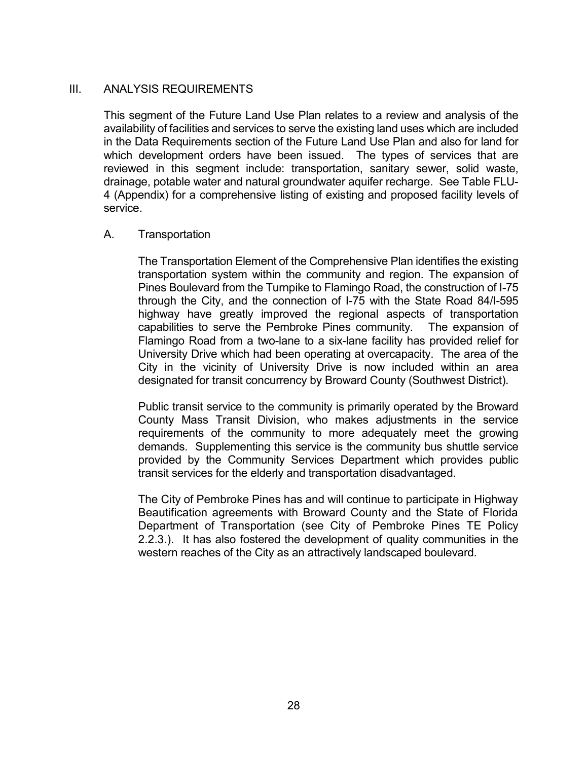# III. ANALYSIS REQUIREMENTS

 This segment of the Future Land Use Plan relates to a review and analysis of the availability of facilities and services to serve the existing land uses which are included in the Data Requirements section of the Future Land Use Plan and also for land for which development orders have been issued. The types of services that are reviewed in this segment include: transportation, sanitary sewer, solid waste, drainage, potable water and natural groundwater aquifer recharge. See Table FLU-4 (Appendix) for a comprehensive listing of existing and proposed facility levels of service.

### A. Transportation

 The Transportation Element of the Comprehensive Plan identifies the existing transportation system within the community and region. The expansion of Pines Boulevard from the Turnpike to Flamingo Road, the construction of I-75 through the City, and the connection of I-75 with the State Road 84/I-595 highway have greatly improved the regional aspects of transportation capabilities to serve the Pembroke Pines community. The expansion of Flamingo Road from a two-lane to a six-lane facility has provided relief for University Drive which had been operating at overcapacity. The area of the City in the vicinity of University Drive is now included within an area designated for transit concurrency by Broward County (Southwest District).

 Public transit service to the community is primarily operated by the Broward County Mass Transit Division, who makes adjustments in the service requirements of the community to more adequately meet the growing demands. Supplementing this service is the community bus shuttle service provided by the Community Services Department which provides public transit services for the elderly and transportation disadvantaged.

The City of Pembroke Pines has and will continue to participate in Highway Beautification agreements with Broward County and the State of Florida Department of Transportation (see City of Pembroke Pines TE Policy 2.2.3.). It has also fostered the development of quality communities in the western reaches of the City as an attractively landscaped boulevard.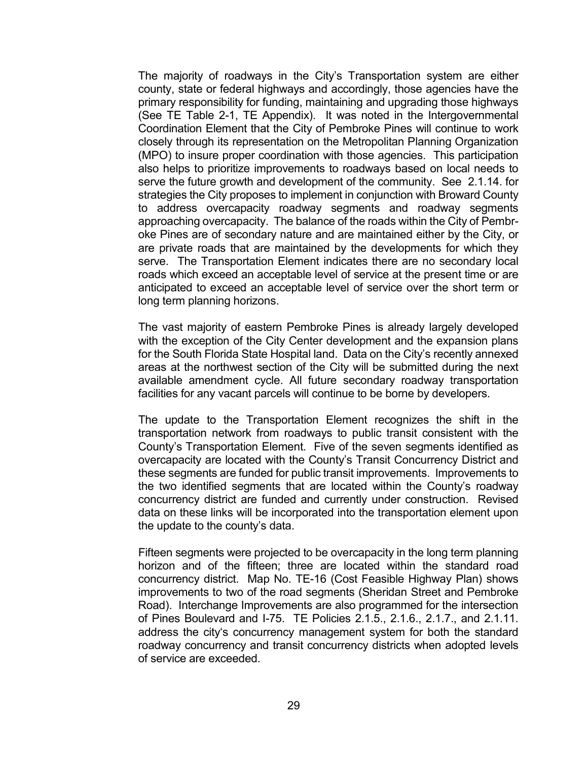The majority of roadways in the City's Transportation system are either county, state or federal highways and accordingly, those agencies have the primary responsibility for funding, maintaining and upgrading those highways (See TE Table 2-1, TE Appendix). It was noted in the Intergovernmental Coordination Element that the City of Pembroke Pines will continue to work closely through its representation on the Metropolitan Planning Organization (MPO) to insure proper coordination with those agencies. This participation also helps to prioritize improvements to roadways based on local needs to serve the future growth and development of the community. See 2.1.14. for strategies the City proposes to implement in conjunction with Broward County to address overcapacity roadway segments and roadway segments approaching overcapacity. The balance of the roads within the City of Pembroke Pines are of secondary nature and are maintained either by the City, or are private roads that are maintained by the developments for which they serve. The Transportation Element indicates there are no secondary local roads which exceed an acceptable level of service at the present time or are anticipated to exceed an acceptable level of service over the short term or long term planning horizons.

 The vast majority of eastern Pembroke Pines is already largely developed with the exception of the City Center development and the expansion plans for the South Florida State Hospital land. Data on the City's recently annexed areas at the northwest section of the City will be submitted during the next available amendment cycle. All future secondary roadway transportation facilities for any vacant parcels will continue to be borne by developers.

 The update to the Transportation Element recognizes the shift in the transportation network from roadways to public transit consistent with the County's Transportation Element. Five of the seven segments identified as overcapacity are located with the County's Transit Concurrency District and these segments are funded for public transit improvements. Improvements to the two identified segments that are located within the County's roadway concurrency district are funded and currently under construction. Revised data on these links will be incorporated into the transportation element upon the update to the county's data.

 Fifteen segments were projected to be overcapacity in the long term planning horizon and of the fifteen; three are located within the standard road concurrency district. Map No. TE-16 (Cost Feasible Highway Plan) shows improvements to two of the road segments (Sheridan Street and Pembroke Road). Interchange Improvements are also programmed for the intersection of Pines Boulevard and I-75. TE Policies 2.1.5., 2.1.6., 2.1.7., and 2.1.11. address the city's concurrency management system for both the standard roadway concurrency and transit concurrency districts when adopted levels of service are exceeded.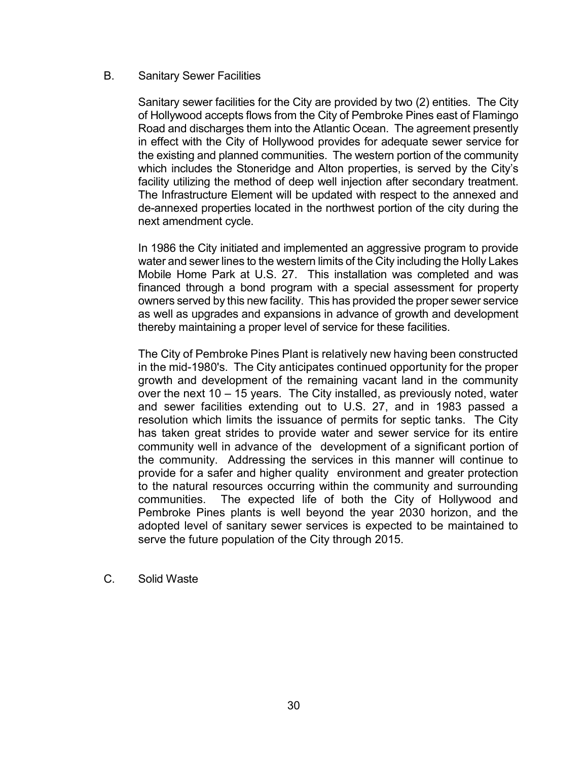### B. Sanitary Sewer Facilities

 Sanitary sewer facilities for the City are provided by two (2) entities. The City of Hollywood accepts flows from the City of Pembroke Pines east of Flamingo Road and discharges them into the Atlantic Ocean. The agreement presently in effect with the City of Hollywood provides for adequate sewer service for the existing and planned communities. The western portion of the community which includes the Stoneridge and Alton properties, is served by the City's facility utilizing the method of deep well injection after secondary treatment. The Infrastructure Element will be updated with respect to the annexed and de-annexed properties located in the northwest portion of the city during the next amendment cycle.

 In 1986 the City initiated and implemented an aggressive program to provide water and sewer lines to the western limits of the City including the Holly Lakes Mobile Home Park at U.S. 27. This installation was completed and was financed through a bond program with a special assessment for property owners served by this new facility. This has provided the proper sewer service as well as upgrades and expansions in advance of growth and development thereby maintaining a proper level of service for these facilities.

 The City of Pembroke Pines Plant is relatively new having been constructed in the mid-1980's. The City anticipates continued opportunity for the proper growth and development of the remaining vacant land in the community over the next 10 – 15 years. The City installed, as previously noted, water and sewer facilities extending out to U.S. 27, and in 1983 passed a resolution which limits the issuance of permits for septic tanks. The City has taken great strides to provide water and sewer service for its entire community well in advance of the development of a significant portion of the community. Addressing the services in this manner will continue to provide for a safer and higher quality environment and greater protection to the natural resources occurring within the community and surrounding communities. The expected life of both the City of Hollywood and Pembroke Pines plants is well beyond the year 2030 horizon, and the adopted level of sanitary sewer services is expected to be maintained to serve the future population of the City through 2015.

C. Solid Waste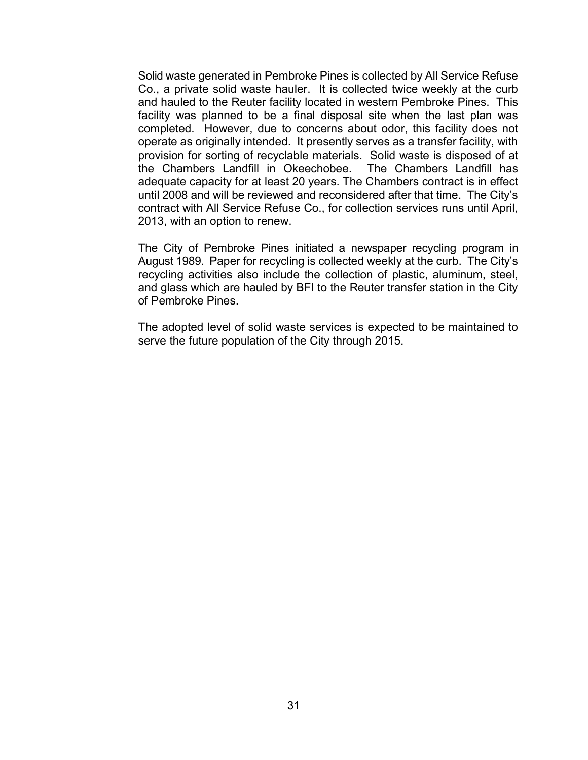Solid waste generated in Pembroke Pines is collected by All Service Refuse Co., a private solid waste hauler. It is collected twice weekly at the curb and hauled to the Reuter facility located in western Pembroke Pines. This facility was planned to be a final disposal site when the last plan was completed. However, due to concerns about odor, this facility does not operate as originally intended. It presently serves as a transfer facility, with provision for sorting of recyclable materials. Solid waste is disposed of at the Chambers Landfill in Okeechobee. The Chambers Landfill has adequate capacity for at least 20 years. The Chambers contract is in effect until 2008 and will be reviewed and reconsidered after that time. The City's contract with All Service Refuse Co., for collection services runs until April, 2013, with an option to renew.

 The City of Pembroke Pines initiated a newspaper recycling program in August 1989. Paper for recycling is collected weekly at the curb. The City's recycling activities also include the collection of plastic, aluminum, steel, and glass which are hauled by BFI to the Reuter transfer station in the City of Pembroke Pines.

 The adopted level of solid waste services is expected to be maintained to serve the future population of the City through 2015.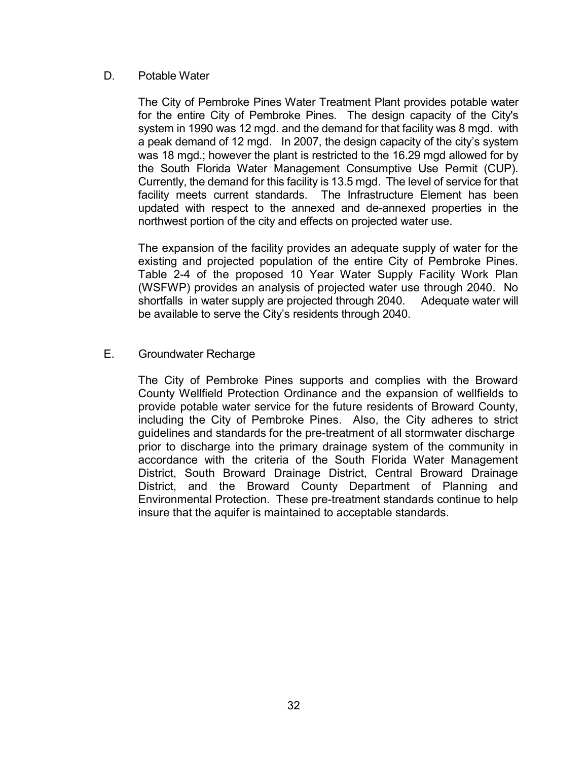## D. Potable Water

 The City of Pembroke Pines Water Treatment Plant provides potable water for the entire City of Pembroke Pines. The design capacity of the City's system in 1990 was 12 mgd. and the demand for that facility was 8 mgd. with a peak demand of 12 mgd. In 2007, the design capacity of the city's system was 18 mgd.; however the plant is restricted to the 16.29 mgd allowed for by the South Florida Water Management Consumptive Use Permit (CUP). Currently, the demand for this facility is 13.5 mgd. The level of service for that facility meets current standards. The Infrastructure Element has been updated with respect to the annexed and de-annexed properties in the northwest portion of the city and effects on projected water use.

The expansion of the facility provides an adequate supply of water for the existing and projected population of the entire City of Pembroke Pines. Table 2-4 of the proposed 10 Year Water Supply Facility Work Plan (WSFWP) provides an analysis of projected water use through 2040. No shortfalls in water supply are projected through 2040. Adequate water will be available to serve the City's residents through 2040.

### E. Groundwater Recharge

 The City of Pembroke Pines supports and complies with the Broward County Wellfield Protection Ordinance and the expansion of wellfields to provide potable water service for the future residents of Broward County, including the City of Pembroke Pines. Also, the City adheres to strict guidelines and standards for the pre-treatment of all stormwater discharge prior to discharge into the primary drainage system of the community in accordance with the criteria of the South Florida Water Management District, South Broward Drainage District, Central Broward Drainage District, and the Broward County Department of Planning and Environmental Protection. These pre-treatment standards continue to help insure that the aquifer is maintained to acceptable standards.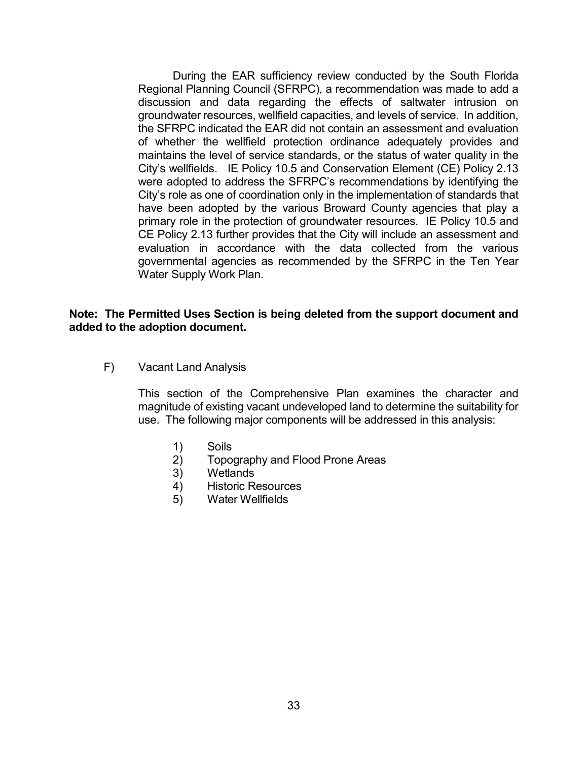During the EAR sufficiency review conducted by the South Florida Regional Planning Council (SFRPC), a recommendation was made to add a discussion and data regarding the effects of saltwater intrusion on groundwater resources, wellfield capacities, and levels of service. In addition, the SFRPC indicated the EAR did not contain an assessment and evaluation of whether the wellfield protection ordinance adequately provides and maintains the level of service standards, or the status of water quality in the City's wellfields. IE Policy 10.5 and Conservation Element (CE) Policy 2.13 were adopted to address the SFRPC's recommendations by identifying the City's role as one of coordination only in the implementation of standards that have been adopted by the various Broward County agencies that play a primary role in the protection of groundwater resources. IE Policy 10.5 and CE Policy 2.13 further provides that the City will include an assessment and evaluation in accordance with the data collected from the various governmental agencies as recommended by the SFRPC in the Ten Year Water Supply Work Plan.

### Note: The Permitted Uses Section is being deleted from the support document and added to the adoption document.

F) Vacant Land Analysis

This section of the Comprehensive Plan examines the character and magnitude of existing vacant undeveloped land to determine the suitability for use. The following major components will be addressed in this analysis:

- 1) Soils
- 2) Topography and Flood Prone Areas
- 3) Wetlands
- 4) Historic Resources
- 5) Water Wellfields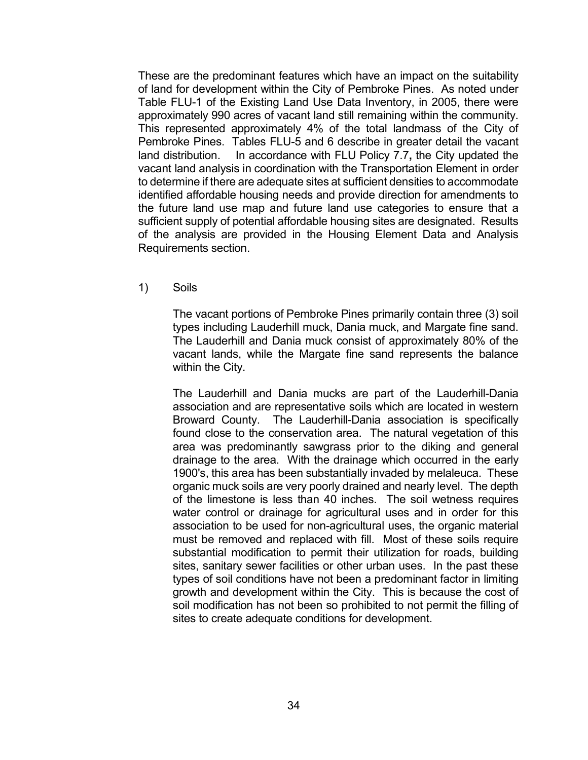These are the predominant features which have an impact on the suitability of land for development within the City of Pembroke Pines. As noted under Table FLU-1 of the Existing Land Use Data Inventory, in 2005, there were approximately 990 acres of vacant land still remaining within the community. This represented approximately 4% of the total landmass of the City of Pembroke Pines. Tables FLU-5 and 6 describe in greater detail the vacant land distribution. In accordance with FLU Policy 7.7, the City updated the vacant land analysis in coordination with the Transportation Element in order to determine if there are adequate sites at sufficient densities to accommodate identified affordable housing needs and provide direction for amendments to the future land use map and future land use categories to ensure that a sufficient supply of potential affordable housing sites are designated. Results of the analysis are provided in the Housing Element Data and Analysis Requirements section.

1) Soils

The vacant portions of Pembroke Pines primarily contain three (3) soil types including Lauderhill muck, Dania muck, and Margate fine sand. The Lauderhill and Dania muck consist of approximately 80% of the vacant lands, while the Margate fine sand represents the balance within the City.

The Lauderhill and Dania mucks are part of the Lauderhill-Dania association and are representative soils which are located in western Broward County. The Lauderhill-Dania association is specifically found close to the conservation area. The natural vegetation of this area was predominantly sawgrass prior to the diking and general drainage to the area. With the drainage which occurred in the early 1900's, this area has been substantially invaded by melaleuca. These organic muck soils are very poorly drained and nearly level. The depth of the limestone is less than 40 inches. The soil wetness requires water control or drainage for agricultural uses and in order for this association to be used for non-agricultural uses, the organic material must be removed and replaced with fill. Most of these soils require substantial modification to permit their utilization for roads, building sites, sanitary sewer facilities or other urban uses. In the past these types of soil conditions have not been a predominant factor in limiting growth and development within the City. This is because the cost of soil modification has not been so prohibited to not permit the filling of sites to create adequate conditions for development.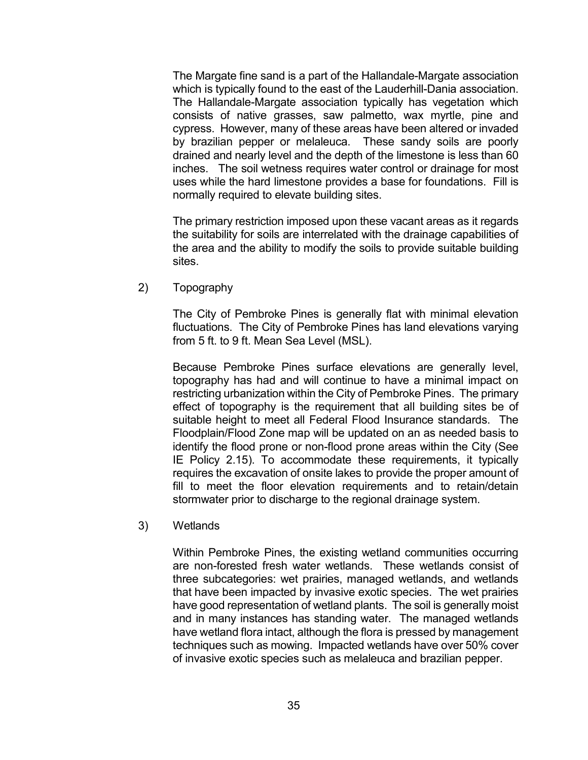The Margate fine sand is a part of the Hallandale-Margate association which is typically found to the east of the Lauderhill-Dania association. The Hallandale-Margate association typically has vegetation which consists of native grasses, saw palmetto, wax myrtle, pine and cypress. However, many of these areas have been altered or invaded by brazilian pepper or melaleuca. These sandy soils are poorly drained and nearly level and the depth of the limestone is less than 60 inches. The soil wetness requires water control or drainage for most uses while the hard limestone provides a base for foundations. Fill is normally required to elevate building sites.

The primary restriction imposed upon these vacant areas as it regards the suitability for soils are interrelated with the drainage capabilities of the area and the ability to modify the soils to provide suitable building sites.

2) Topography

The City of Pembroke Pines is generally flat with minimal elevation fluctuations. The City of Pembroke Pines has land elevations varying from 5 ft. to 9 ft. Mean Sea Level (MSL).

Because Pembroke Pines surface elevations are generally level, topography has had and will continue to have a minimal impact on restricting urbanization within the City of Pembroke Pines. The primary effect of topography is the requirement that all building sites be of suitable height to meet all Federal Flood Insurance standards. The Floodplain/Flood Zone map will be updated on an as needed basis to identify the flood prone or non-flood prone areas within the City (See IE Policy 2.15). To accommodate these requirements, it typically requires the excavation of onsite lakes to provide the proper amount of fill to meet the floor elevation requirements and to retain/detain stormwater prior to discharge to the regional drainage system.

3) Wetlands

Within Pembroke Pines, the existing wetland communities occurring are non-forested fresh water wetlands. These wetlands consist of three subcategories: wet prairies, managed wetlands, and wetlands that have been impacted by invasive exotic species. The wet prairies have good representation of wetland plants. The soil is generally moist and in many instances has standing water. The managed wetlands have wetland flora intact, although the flora is pressed by management techniques such as mowing. Impacted wetlands have over 50% cover of invasive exotic species such as melaleuca and brazilian pepper.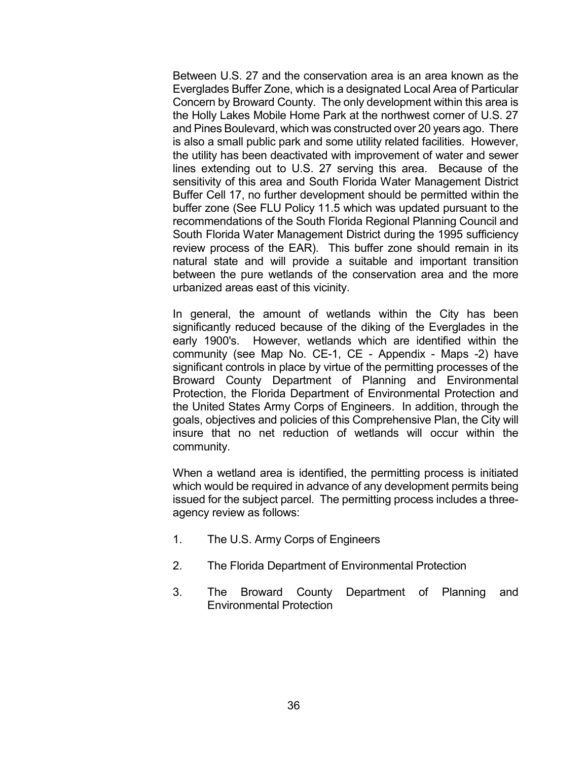Between U.S. 27 and the conservation area is an area known as the Everglades Buffer Zone, which is a designated Local Area of Particular Concern by Broward County. The only development within this area is the Holly Lakes Mobile Home Park at the northwest corner of U.S. 27 and Pines Boulevard, which was constructed over 20 years ago. There is also a small public park and some utility related facilities. However, the utility has been deactivated with improvement of water and sewer lines extending out to U.S. 27 serving this area. Because of the sensitivity of this area and South Florida Water Management District Buffer Cell 17, no further development should be permitted within the buffer zone (See FLU Policy 11.5 which was updated pursuant to the recommendations of the South Florida Regional Planning Council and South Florida Water Management District during the 1995 sufficiency review process of the EAR). This buffer zone should remain in its natural state and will provide a suitable and important transition between the pure wetlands of the conservation area and the more urbanized areas east of this vicinity.

In general, the amount of wetlands within the City has been significantly reduced because of the diking of the Everglades in the early 1900's. However, wetlands which are identified within the community (see Map No. CE-1, CE - Appendix - Maps -2) have significant controls in place by virtue of the permitting processes of the Broward County Department of Planning and Environmental Protection, the Florida Department of Environmental Protection and the United States Army Corps of Engineers. In addition, through the goals, objectives and policies of this Comprehensive Plan, the City will insure that no net reduction of wetlands will occur within the community.

When a wetland area is identified, the permitting process is initiated which would be required in advance of any development permits being issued for the subject parcel. The permitting process includes a threeagency review as follows:

- 1. The U.S. Army Corps of Engineers
- 2. The Florida Department of Environmental Protection
- 3. The Broward County Department of Planning and Environmental Protection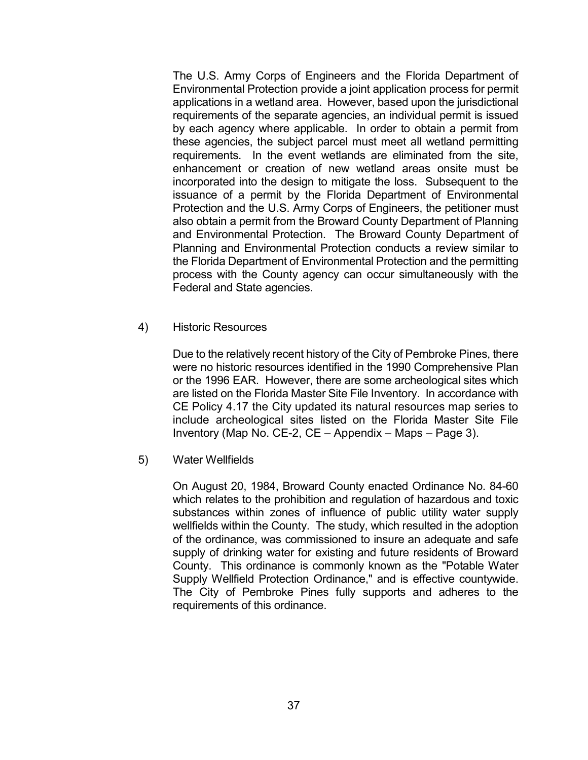The U.S. Army Corps of Engineers and the Florida Department of Environmental Protection provide a joint application process for permit applications in a wetland area. However, based upon the jurisdictional requirements of the separate agencies, an individual permit is issued by each agency where applicable. In order to obtain a permit from these agencies, the subject parcel must meet all wetland permitting requirements. In the event wetlands are eliminated from the site, enhancement or creation of new wetland areas onsite must be incorporated into the design to mitigate the loss. Subsequent to the issuance of a permit by the Florida Department of Environmental Protection and the U.S. Army Corps of Engineers, the petitioner must also obtain a permit from the Broward County Department of Planning and Environmental Protection. The Broward County Department of Planning and Environmental Protection conducts a review similar to the Florida Department of Environmental Protection and the permitting process with the County agency can occur simultaneously with the Federal and State agencies.

4) Historic Resources

Due to the relatively recent history of the City of Pembroke Pines, there were no historic resources identified in the 1990 Comprehensive Plan or the 1996 EAR. However, there are some archeological sites which are listed on the Florida Master Site File Inventory. In accordance with CE Policy 4.17 the City updated its natural resources map series to include archeological sites listed on the Florida Master Site File Inventory (Map No. CE-2, CE – Appendix – Maps – Page 3).

5) Water Wellfields

On August 20, 1984, Broward County enacted Ordinance No. 84-60 which relates to the prohibition and regulation of hazardous and toxic substances within zones of influence of public utility water supply wellfields within the County. The study, which resulted in the adoption of the ordinance, was commissioned to insure an adequate and safe supply of drinking water for existing and future residents of Broward County. This ordinance is commonly known as the "Potable Water Supply Wellfield Protection Ordinance," and is effective countywide. The City of Pembroke Pines fully supports and adheres to the requirements of this ordinance.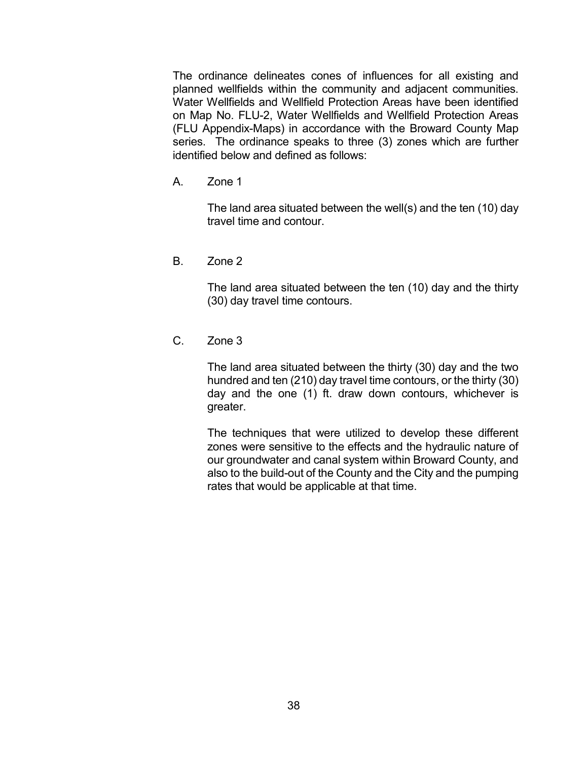The ordinance delineates cones of influences for all existing and planned wellfields within the community and adjacent communities. Water Wellfields and Wellfield Protection Areas have been identified on Map No. FLU-2, Water Wellfields and Wellfield Protection Areas (FLU Appendix-Maps) in accordance with the Broward County Map series. The ordinance speaks to three (3) zones which are further identified below and defined as follows:

A. Zone 1

The land area situated between the well(s) and the ten (10) day travel time and contour.

B. Zone 2

The land area situated between the ten (10) day and the thirty (30) day travel time contours.

C. Zone 3

The land area situated between the thirty (30) day and the two hundred and ten (210) day travel time contours, or the thirty (30) day and the one (1) ft. draw down contours, whichever is greater.

The techniques that were utilized to develop these different zones were sensitive to the effects and the hydraulic nature of our groundwater and canal system within Broward County, and also to the build-out of the County and the City and the pumping rates that would be applicable at that time.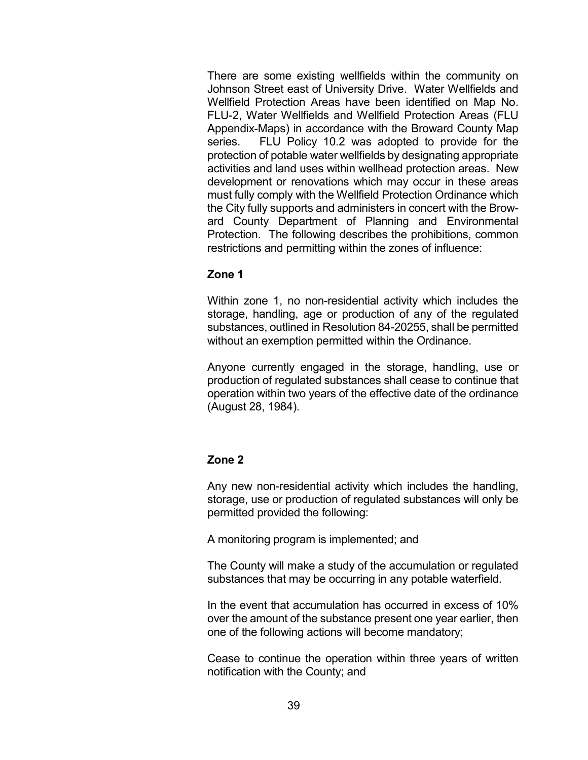There are some existing wellfields within the community on Johnson Street east of University Drive. Water Wellfields and Wellfield Protection Areas have been identified on Map No. FLU-2, Water Wellfields and Wellfield Protection Areas (FLU Appendix-Maps) in accordance with the Broward County Map series. FLU Policy 10.2 was adopted to provide for the protection of potable water wellfields by designating appropriate activities and land uses within wellhead protection areas. New development or renovations which may occur in these areas must fully comply with the Wellfield Protection Ordinance which the City fully supports and administers in concert with the Broward County Department of Planning and Environmental Protection. The following describes the prohibitions, common restrictions and permitting within the zones of influence:

### Zone 1

Within zone 1, no non-residential activity which includes the storage, handling, age or production of any of the regulated substances, outlined in Resolution 84-20255, shall be permitted without an exemption permitted within the Ordinance.

Anyone currently engaged in the storage, handling, use or production of regulated substances shall cease to continue that operation within two years of the effective date of the ordinance (August 28, 1984).

# Zone 2

Any new non-residential activity which includes the handling, storage, use or production of regulated substances will only be permitted provided the following:

A monitoring program is implemented; and

The County will make a study of the accumulation or regulated substances that may be occurring in any potable waterfield.

In the event that accumulation has occurred in excess of 10% over the amount of the substance present one year earlier, then one of the following actions will become mandatory;

Cease to continue the operation within three years of written notification with the County; and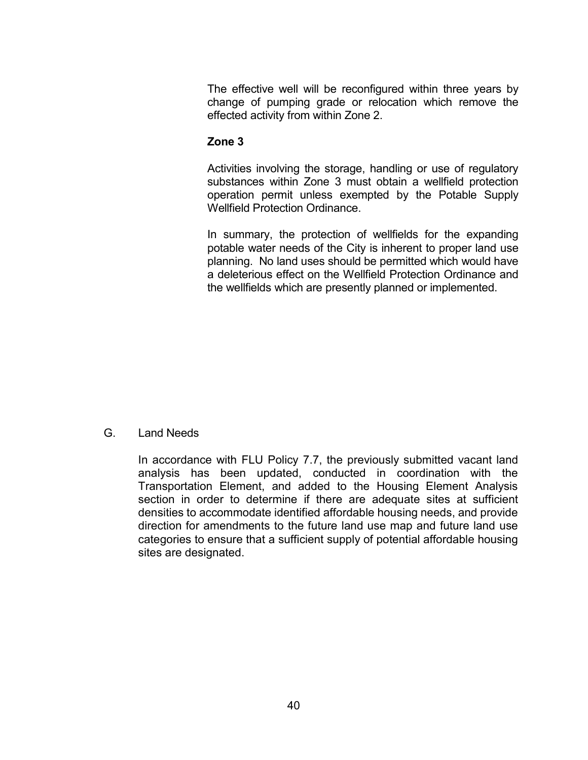The effective well will be reconfigured within three years by change of pumping grade or relocation which remove the effected activity from within Zone 2.

## Zone 3

Activities involving the storage, handling or use of regulatory substances within Zone 3 must obtain a wellfield protection operation permit unless exempted by the Potable Supply Wellfield Protection Ordinance.

In summary, the protection of wellfields for the expanding potable water needs of the City is inherent to proper land use planning. No land uses should be permitted which would have a deleterious effect on the Wellfield Protection Ordinance and the wellfields which are presently planned or implemented.

#### G. Land Needs

In accordance with FLU Policy 7.7, the previously submitted vacant land analysis has been updated, conducted in coordination with the Transportation Element, and added to the Housing Element Analysis section in order to determine if there are adequate sites at sufficient densities to accommodate identified affordable housing needs, and provide direction for amendments to the future land use map and future land use categories to ensure that a sufficient supply of potential affordable housing sites are designated.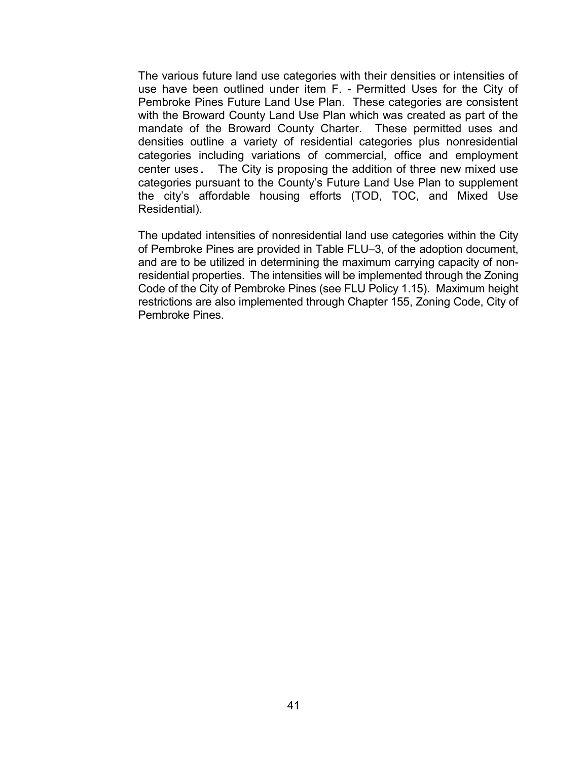The various future land use categories with their densities or intensities of use have been outlined under item F. - Permitted Uses for the City of Pembroke Pines Future Land Use Plan. These categories are consistent with the Broward County Land Use Plan which was created as part of the mandate of the Broward County Charter. These permitted uses and densities outline a variety of residential categories plus nonresidential categories including variations of commercial, office and employment center uses. The City is proposing the addition of three new mixed use categories pursuant to the County's Future Land Use Plan to supplement the city's affordable housing efforts (TOD, TOC, and Mixed Use Residential).

The updated intensities of nonresidential land use categories within the City of Pembroke Pines are provided in Table FLU–3, of the adoption document, and are to be utilized in determining the maximum carrying capacity of nonresidential properties. The intensities will be implemented through the Zoning Code of the City of Pembroke Pines (see FLU Policy 1.15). Maximum height restrictions are also implemented through Chapter 155, Zoning Code, City of Pembroke Pines.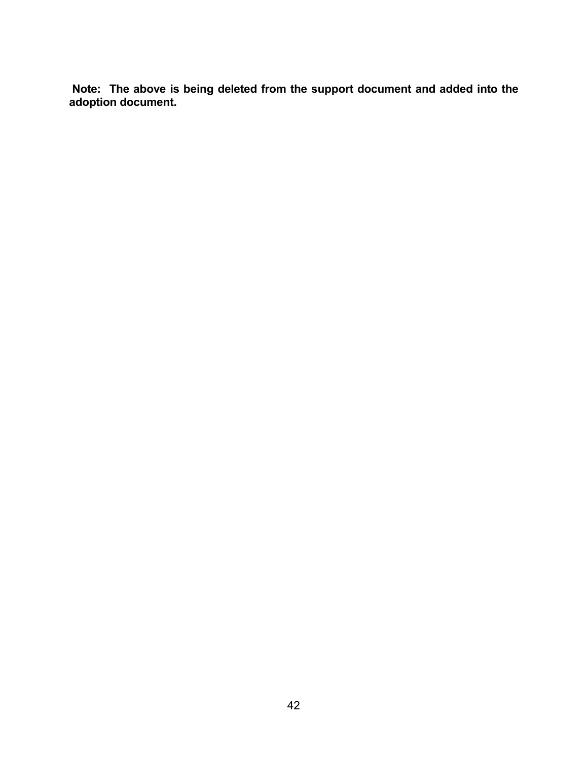Note: The above is being deleted from the support document and added into the adoption document.